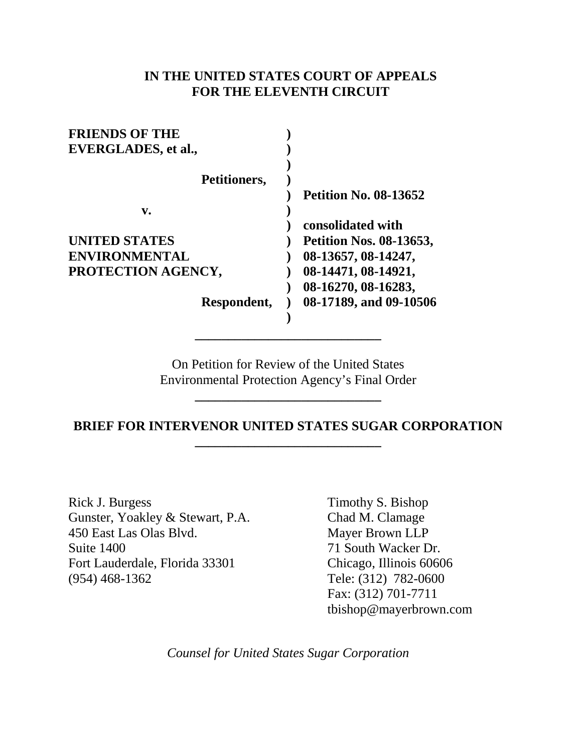# **IN THE UNITED STATES COURT OF APPEALS FOR THE ELEVENTH CIRCUIT**

| <b>FRIENDS OF THE</b> |                                |
|-----------------------|--------------------------------|
| EVERGLADES, et al.,   |                                |
|                       |                                |
| Petitioners,          |                                |
|                       | <b>Petition No. 08-13652</b>   |
| v.                    |                                |
|                       | consolidated with              |
| <b>UNITED STATES</b>  | <b>Petition Nos. 08-13653,</b> |
| <b>ENVIRONMENTAL</b>  | 08-13657, 08-14247,            |
| PROTECTION AGENCY,    | 08-14471, 08-14921,            |
|                       | 08-16270, 08-16283,            |
| Respondent,           | 08-17189, and 09-10506         |
|                       |                                |

On Petition for Review of the United States Environmental Protection Agency's Final Order

**\_\_\_\_\_\_\_\_\_\_\_\_\_\_\_\_\_\_\_\_\_\_\_\_\_\_\_\_**

**\_\_\_\_\_\_\_\_\_\_\_\_\_\_\_\_\_\_\_\_\_\_\_\_\_\_\_\_**

# **BRIEF FOR INTERVENOR UNITED STATES SUGAR CORPORATION \_\_\_\_\_\_\_\_\_\_\_\_\_\_\_\_\_\_\_\_\_\_\_\_\_\_\_\_**

Rick J. Burgess Gunster, Yoakley & Stewart, P.A. 450 East Las Olas Blvd. Suite 1400 Fort Lauderdale, Florida 33301 (954) 468-1362

Timothy S. Bishop Chad M. Clamage Mayer Brown LLP 71 South Wacker Dr. Chicago, Illinois 60606 Tele: (312) 782-0600 Fax: (312) 701-7711 tbishop@mayerbrown.com

*Counsel for United States Sugar Corporation*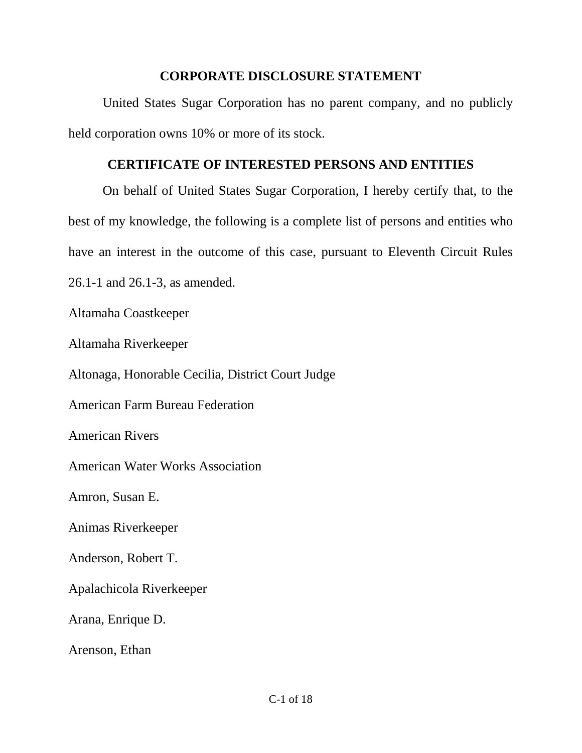# **CORPORATE DISCLOSURE STATEMENT**

United States Sugar Corporation has no parent company, and no publicly held corporation owns 10% or more of its stock.

# **CERTIFICATE OF INTERESTED PERSONS AND ENTITIES**

On behalf of United States Sugar Corporation, I hereby certify that, to the best of my knowledge, the following is a complete list of persons and entities who have an interest in the outcome of this case, pursuant to Eleventh Circuit Rules 26.1-1 and 26.1-3, as amended. Altamaha Coastkeeper Altamaha Riverkeeper Altonaga, Honorable Cecilia, District Court Judge American Farm Bureau Federation American Rivers American Water Works Association Amron, Susan E. Animas Riverkeeper Anderson, Robert T. Apalachicola Riverkeeper Arana, Enrique D.

Arenson, Ethan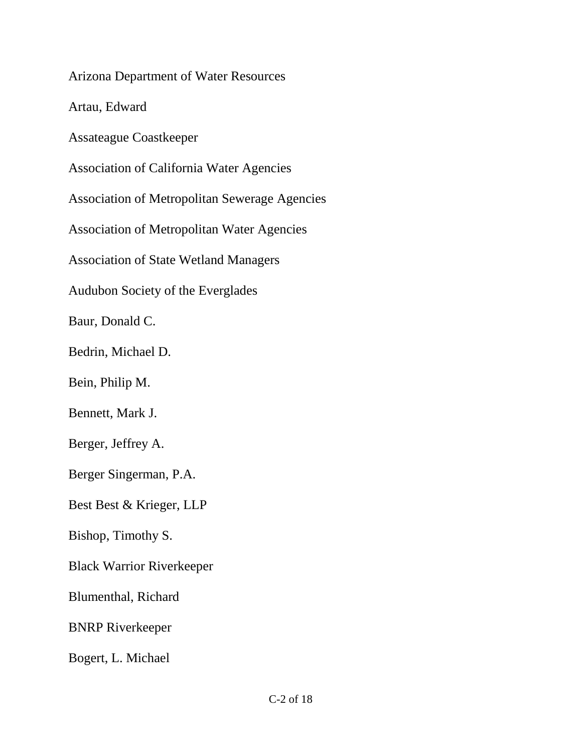Arizona Department of Water Resources

Artau, Edward

Assateague Coastkeeper

Association of California Water Agencies

Association of Metropolitan Sewerage Agencies

Association of Metropolitan Water Agencies

Association of State Wetland Managers

Audubon Society of the Everglades

Baur, Donald C.

Bedrin, Michael D.

Bein, Philip M.

Bennett, Mark J.

Berger, Jeffrey A.

Berger Singerman, P.A.

Best Best & Krieger, LLP

Bishop, Timothy S.

Black Warrior Riverkeeper

Blumenthal, Richard

BNRP Riverkeeper

Bogert, L. Michael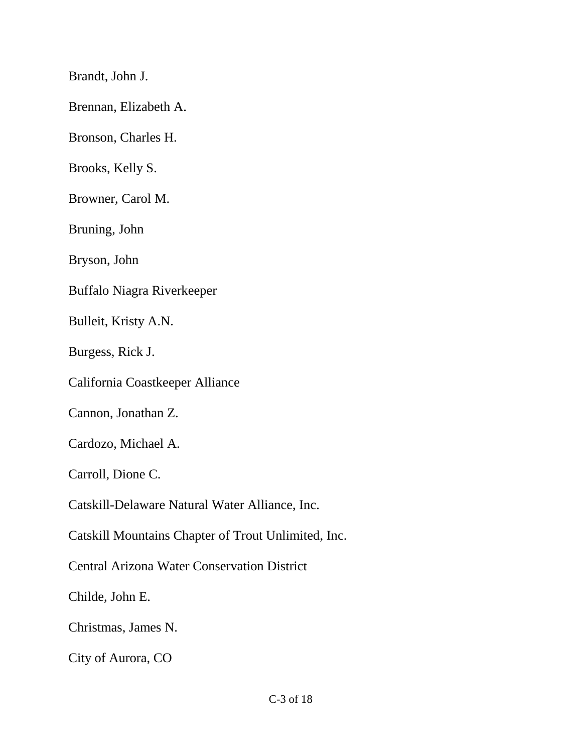Brandt, John J.

Brennan, Elizabeth A.

Bronson, Charles H.

Brooks, Kelly S.

Browner, Carol M.

Bruning, John

Bryson, John

Buffalo Niagra Riverkeeper

Bulleit, Kristy A.N.

Burgess, Rick J.

California Coastkeeper Alliance

Cannon, Jonathan Z.

Cardozo, Michael A.

Carroll, Dione C.

Catskill-Delaware Natural Water Alliance, Inc.

Catskill Mountains Chapter of Trout Unlimited, Inc.

Central Arizona Water Conservation District

Childe, John E.

Christmas, James N.

City of Aurora, CO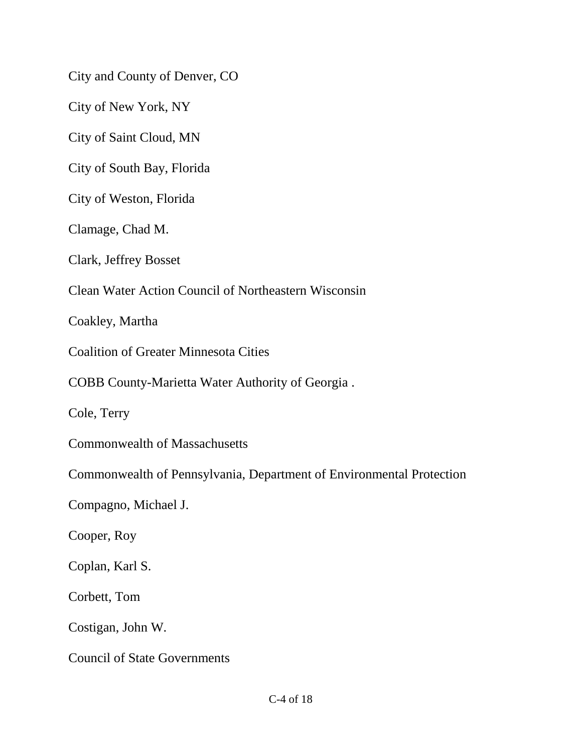City and County of Denver, CO

City of New York, NY

City of Saint Cloud, MN

City of South Bay, Florida

City of Weston, Florida

Clamage, Chad M.

Clark, Jeffrey Bosset

Clean Water Action Council of Northeastern Wisconsin

Coakley, Martha

Coalition of Greater Minnesota Cities

COBB County-Marietta Water Authority of Georgia .

Cole, Terry

Commonwealth of Massachusetts

Commonwealth of Pennsylvania, Department of Environmental Protection

Compagno, Michael J.

Cooper, Roy

Coplan, Karl S.

Corbett, Tom

Costigan, John W.

Council of State Governments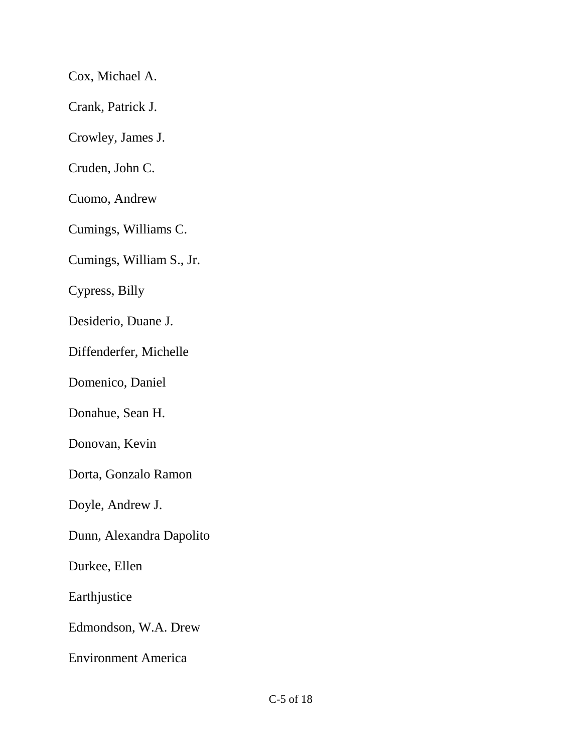Cox, Michael A.

Crank, Patrick J.

Crowley, James J.

Cruden, John C.

Cuomo, Andrew

Cumings, Williams C.

Cumings, William S., Jr.

Cypress, Billy

Desiderio, Duane J.

Diffenderfer, Michelle

Domenico, Daniel

Donahue, Sean H.

Donovan, Kevin

Dorta, Gonzalo Ramon

Doyle, Andrew J.

Dunn, Alexandra Dapolito

Durkee, Ellen

Earthjustice

Edmondson, W.A. Drew

Environment America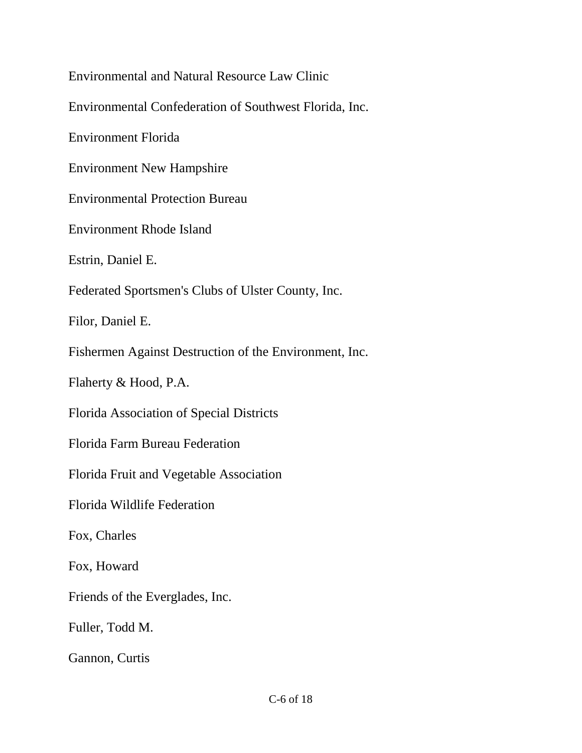Environmental and Natural Resource Law Clinic Environmental Confederation of Southwest Florida, Inc. Environment Florida Environment New Hampshire Environmental Protection Bureau Environment Rhode Island Estrin, Daniel E. Federated Sportsmen's Clubs of Ulster County, Inc. Filor, Daniel E. Fishermen Against Destruction of the Environment, Inc. Flaherty & Hood, P.A. Florida Association of Special Districts Florida Farm Bureau Federation Florida Fruit and Vegetable Association Florida Wildlife Federation Fox, Charles Fox, Howard Friends of the Everglades, Inc. Fuller, Todd M. Gannon, Curtis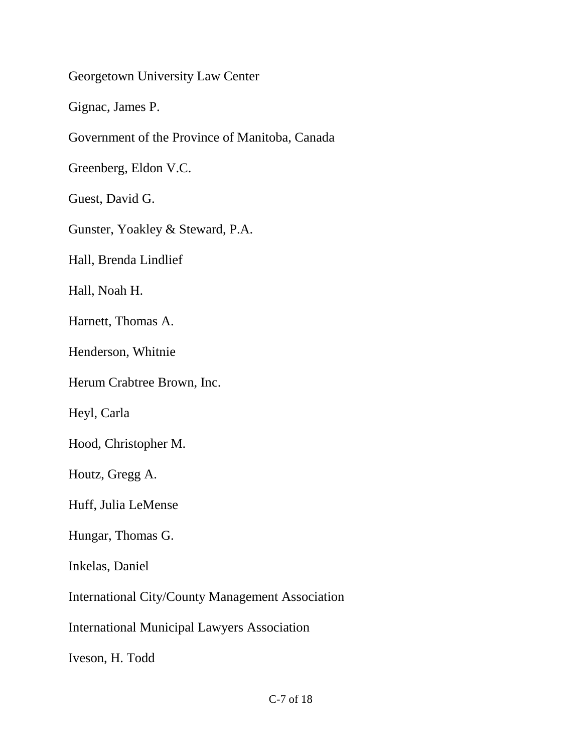Georgetown University Law Center

Gignac, James P.

Government of the Province of Manitoba, Canada

Greenberg, Eldon V.C.

Guest, David G.

Gunster, Yoakley & Steward, P.A.

Hall, Brenda Lindlief

Hall, Noah H.

Harnett, Thomas A.

Henderson, Whitnie

Herum Crabtree Brown, Inc.

Heyl, Carla

Hood, Christopher M.

Houtz, Gregg A.

Huff, Julia LeMense

Hungar, Thomas G.

Inkelas, Daniel

International City/County Management Association

International Municipal Lawyers Association

Iveson, H. Todd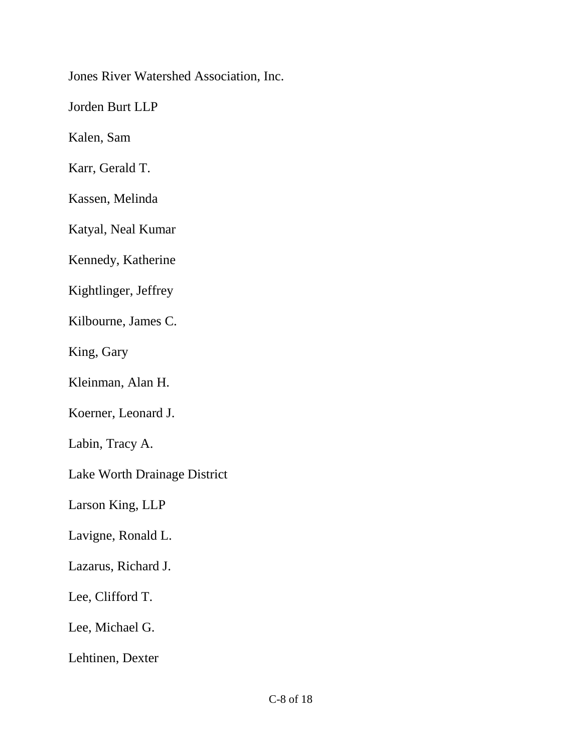Jones River Watershed Association, Inc.

Jorden Burt LLP

Kalen, Sam

Karr, Gerald T.

Kassen, Melinda

Katyal, Neal Kumar

Kennedy, Katherine

Kightlinger, Jeffrey

Kilbourne, James C.

King, Gary

Kleinman, Alan H.

Koerner, Leonard J.

Labin, Tracy A.

Lake Worth Drainage District

Larson King, LLP

Lavigne, Ronald L.

Lazarus, Richard J.

Lee, Clifford T.

Lee, Michael G.

Lehtinen, Dexter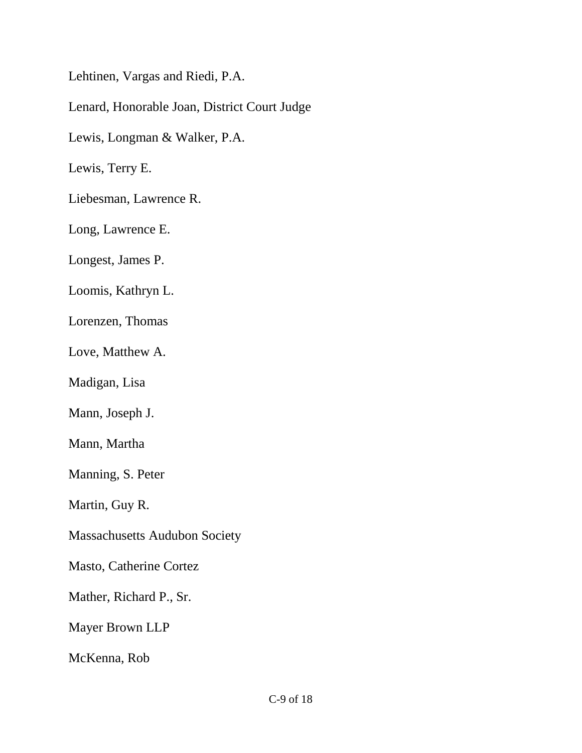Lehtinen, Vargas and Riedi, P.A.

Lenard, Honorable Joan, District Court Judge

Lewis, Longman & Walker, P.A.

Lewis, Terry E.

Liebesman, Lawrence R.

Long, Lawrence E.

Longest, James P.

Loomis, Kathryn L.

Lorenzen, Thomas

Love, Matthew A.

Madigan, Lisa

Mann, Joseph J.

Mann, Martha

Manning, S. Peter

Martin, Guy R.

Massachusetts Audubon Society

Masto, Catherine Cortez

Mather, Richard P., Sr.

Mayer Brown LLP

McKenna, Rob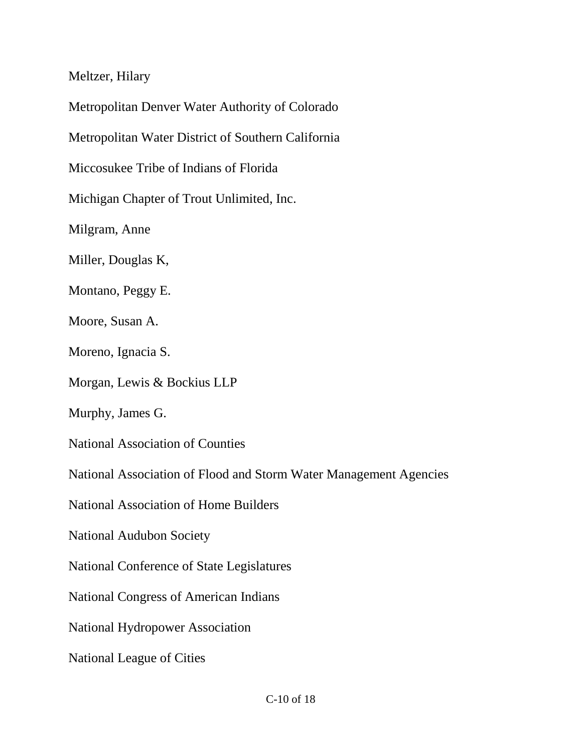Meltzer, Hilary

Metropolitan Denver Water Authority of Colorado

Metropolitan Water District of Southern California

Miccosukee Tribe of Indians of Florida

Michigan Chapter of Trout Unlimited, Inc.

Milgram, Anne

Miller, Douglas K,

Montano, Peggy E.

Moore, Susan A.

Moreno, Ignacia S.

Morgan, Lewis & Bockius LLP

Murphy, James G.

National Association of Counties

National Association of Flood and Storm Water Management Agencies

National Association of Home Builders

National Audubon Society

National Conference of State Legislatures

National Congress of American Indians

National Hydropower Association

National League of Cities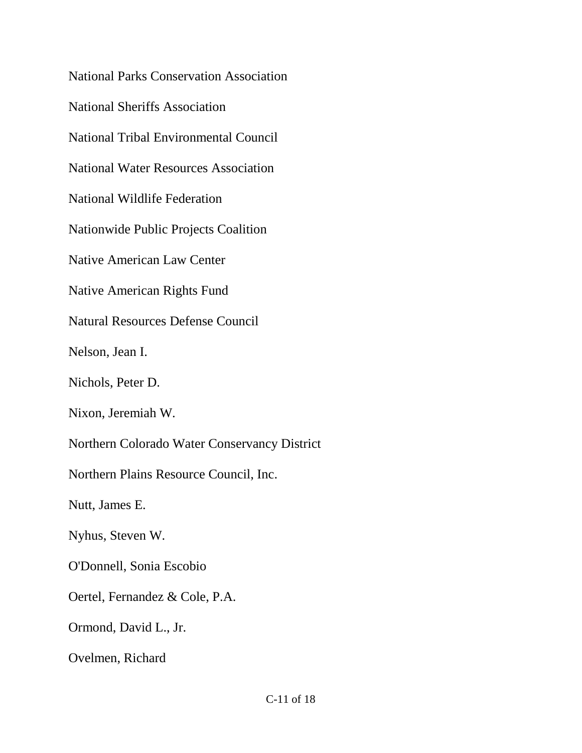National Parks Conservation Association National Sheriffs Association National Tribal Environmental Council National Water Resources Association National Wildlife Federation Nationwide Public Projects Coalition Native American Law Center Native American Rights Fund Natural Resources Defense Council Nelson, Jean I. Nichols, Peter D. Nixon, Jeremiah W. Northern Colorado Water Conservancy District Northern Plains Resource Council, Inc. Nutt, James E. Nyhus, Steven W. O'Donnell, Sonia Escobio Oertel, Fernandez & Cole, P.A. Ormond, David L., Jr. Ovelmen, Richard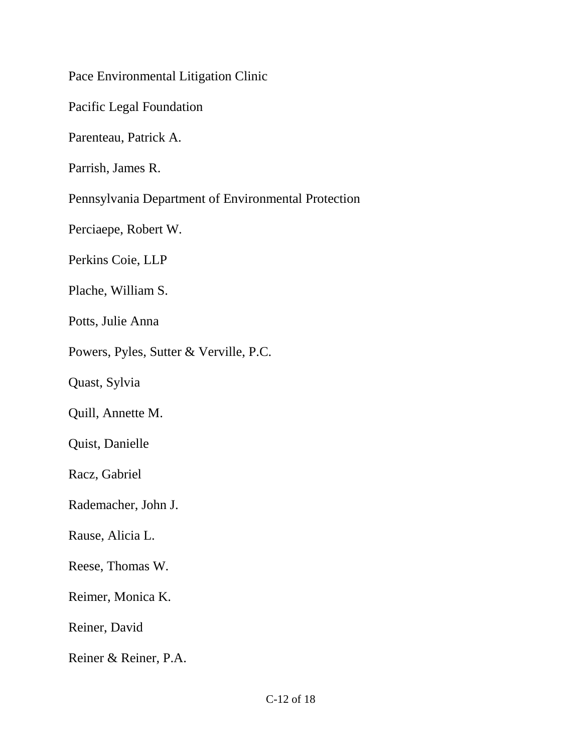Pace Environmental Litigation Clinic

Pacific Legal Foundation

Parenteau, Patrick A.

Parrish, James R.

Pennsylvania Department of Environmental Protection

Perciaepe, Robert W.

Perkins Coie, LLP

Plache, William S.

Potts, Julie Anna

Powers, Pyles, Sutter & Verville, P.C.

Quast, Sylvia

Quill, Annette M.

Quist, Danielle

Racz, Gabriel

Rademacher, John J.

Rause, Alicia L.

Reese, Thomas W.

Reimer, Monica K.

Reiner, David

Reiner & Reiner, P.A.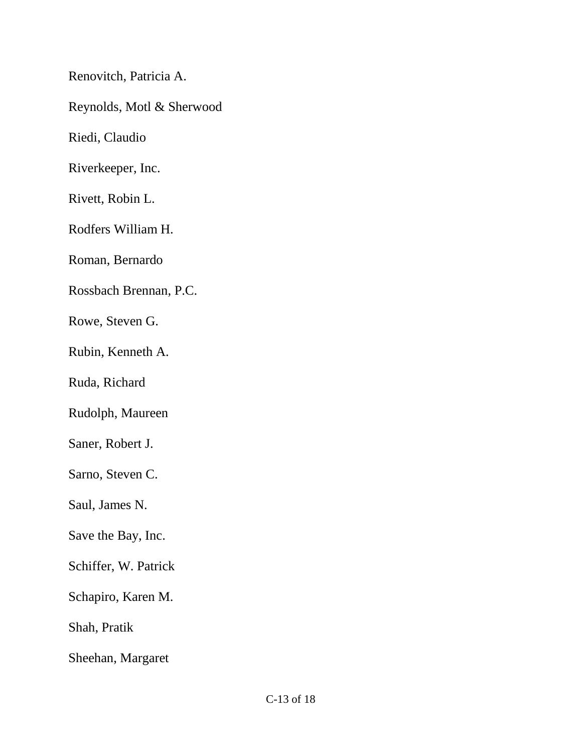Renovitch, Patricia A.

Reynolds, Motl & Sherwood

Riedi, Claudio

Riverkeeper, Inc.

Rivett, Robin L.

Rodfers William H.

Roman, Bernardo

Rossbach Brennan, P.C.

Rowe, Steven G.

Rubin, Kenneth A.

Ruda, Richard

Rudolph, Maureen

Saner, Robert J.

Sarno, Steven C.

Saul, James N.

Save the Bay, Inc.

Schiffer, W. Patrick

Schapiro, Karen M.

Shah, Pratik

Sheehan, Margaret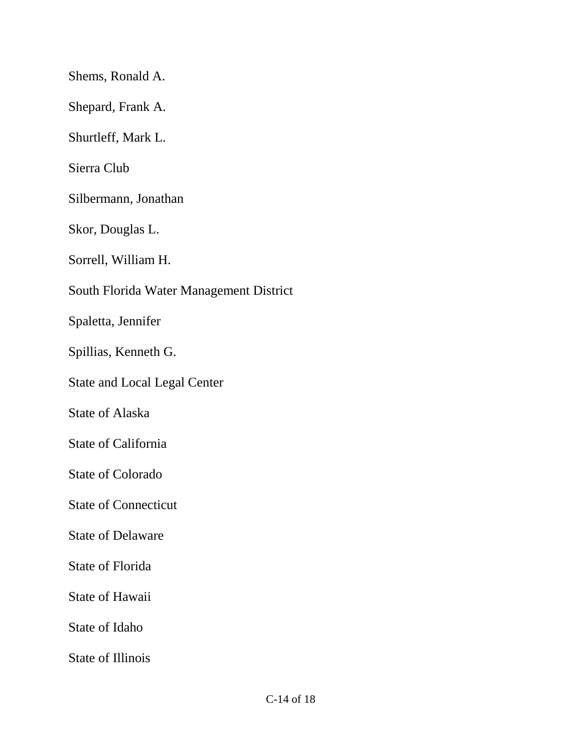Shems, Ronald A. Shepard, Frank A. Shurtleff, Mark L. Sierra Club Silbermann, Jonathan Skor, Douglas L. Sorrell, William H. South Florida Water Management District Spaletta, Jennifer Spillias, Kenneth G. State and Local Legal Center State of Alaska State of California State of Colorado State of Connecticut State of Delaware State of Florida State of Hawaii State of Idaho State of Illinois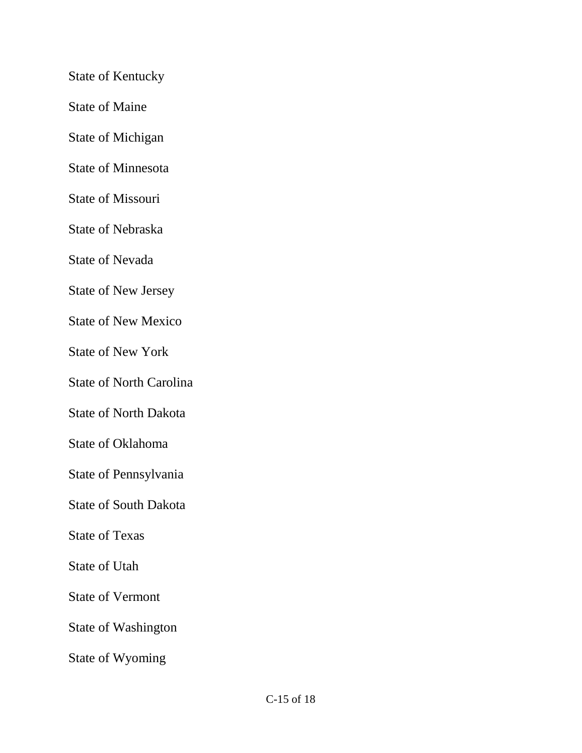State of Kentucky

State of Maine

State of Michigan

State of Minnesota

State of Missouri

State of Nebraska

State of Nevada

State of New Jersey

State of New Mexico

State of New York

State of North Carolina

State of North Dakota

State of Oklahoma

State of Pennsylvania

State of South Dakota

State of Texas

State of Utah

State of Vermont

State of Washington

State of Wyoming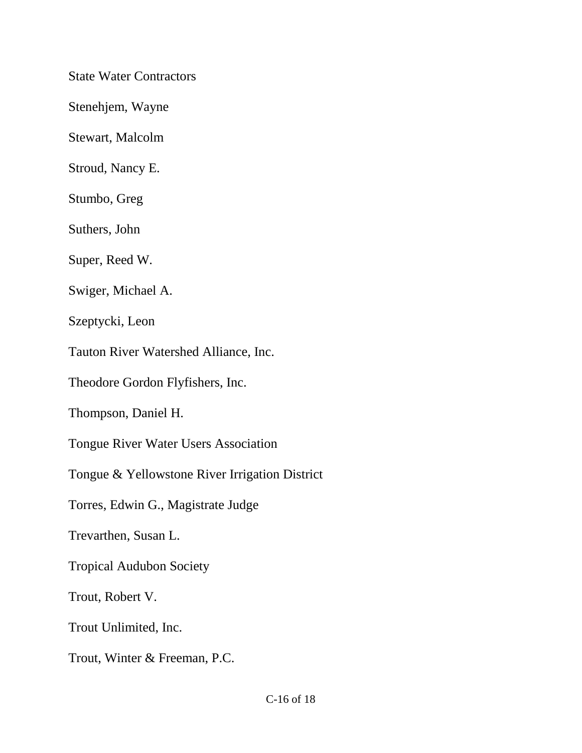State Water Contractors

Stenehjem, Wayne

Stewart, Malcolm

Stroud, Nancy E.

Stumbo, Greg

Suthers, John

Super, Reed W.

Swiger, Michael A.

Szeptycki, Leon

Tauton River Watershed Alliance, Inc.

Theodore Gordon Flyfishers, Inc.

Thompson, Daniel H.

Tongue River Water Users Association

Tongue & Yellowstone River Irrigation District

Torres, Edwin G., Magistrate Judge

Trevarthen, Susan L.

Tropical Audubon Society

Trout, Robert V.

Trout Unlimited, Inc.

Trout, Winter & Freeman, P.C.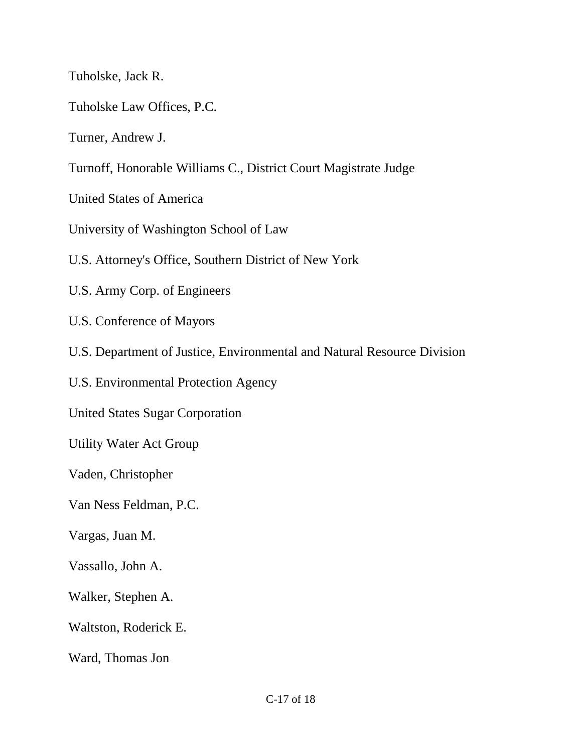Tuholske, Jack R.

Tuholske Law Offices, P.C.

Turner, Andrew J.

Turnoff, Honorable Williams C., District Court Magistrate Judge

United States of America

University of Washington School of Law

U.S. Attorney's Office, Southern District of New York

- U.S. Army Corp. of Engineers
- U.S. Conference of Mayors
- U.S. Department of Justice, Environmental and Natural Resource Division

U.S. Environmental Protection Agency

United States Sugar Corporation

Utility Water Act Group

Vaden, Christopher

Van Ness Feldman, P.C.

Vargas, Juan M.

Vassallo, John A.

Walker, Stephen A.

Waltston, Roderick E.

Ward, Thomas Jon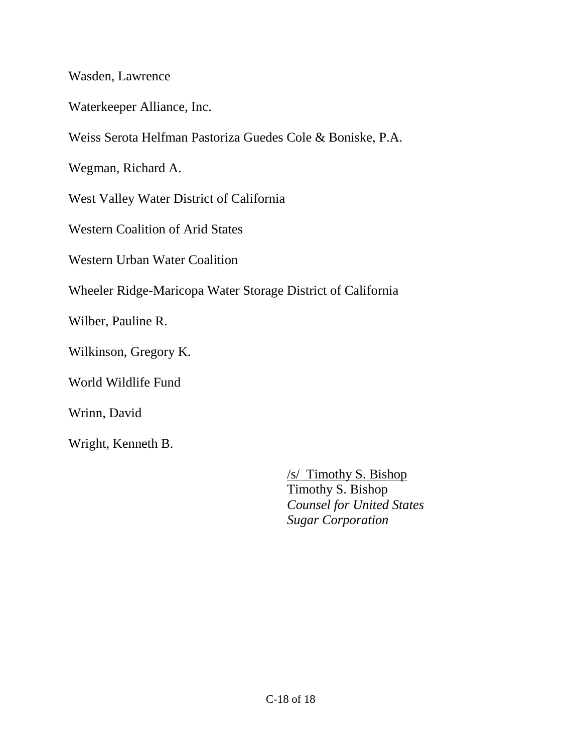Wasden, Lawrence

Waterkeeper Alliance, Inc.

Weiss Serota Helfman Pastoriza Guedes Cole & Boniske, P.A.

Wegman, Richard A.

West Valley Water District of California

Western Coalition of Arid States

Western Urban Water Coalition

Wheeler Ridge-Maricopa Water Storage District of California

Wilber, Pauline R.

Wilkinson, Gregory K.

World Wildlife Fund

Wrinn, David

Wright, Kenneth B.

/s/ Timothy S. Bishop Timothy S. Bishop *Counsel for United States Sugar Corporation*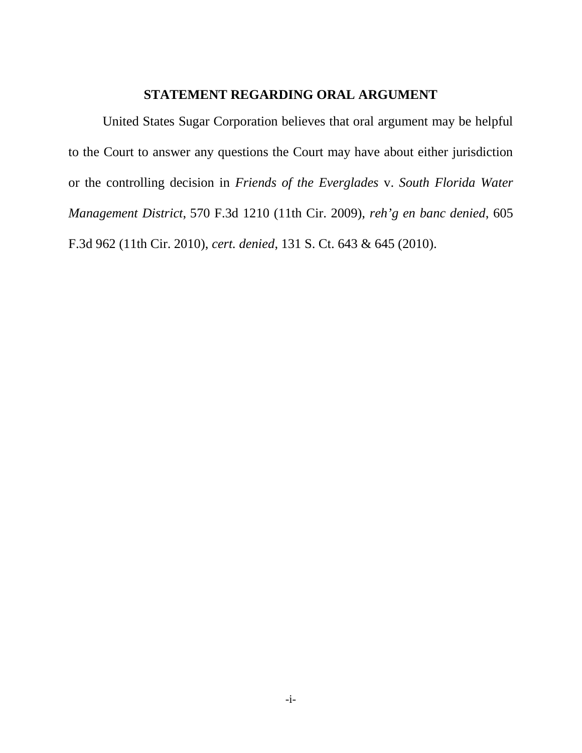# **STATEMENT REGARDING ORAL ARGUMENT**

United States Sugar Corporation believes that oral argument may be helpful to the Court to answer any questions the Court may have about either jurisdiction or the controlling decision in *Friends of the Everglades* v. *South Florida Water Management District*, 570 F.3d 1210 (11th Cir. 2009), *reh'g en banc denied*, 605 F.3d 962 (11th Cir. 2010), *cert. denied*, 131 S. Ct. 643 & 645 (2010).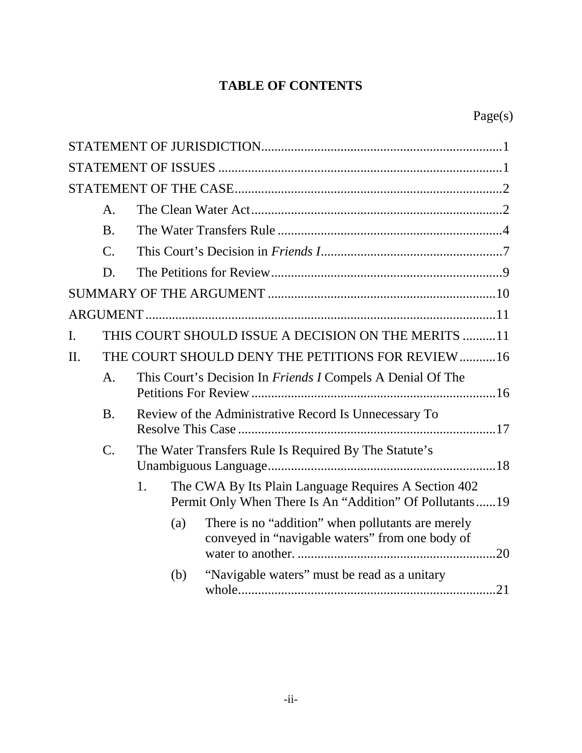# **TABLE OF CONTENTS**

|     | A.              |    |     |                                                                                                                 |
|-----|-----------------|----|-----|-----------------------------------------------------------------------------------------------------------------|
|     | <b>B.</b>       |    |     |                                                                                                                 |
|     | $\mathcal{C}$ . |    |     |                                                                                                                 |
|     | D.              |    |     |                                                                                                                 |
|     |                 |    |     |                                                                                                                 |
|     |                 |    |     |                                                                                                                 |
| I.  |                 |    |     | THIS COURT SHOULD ISSUE A DECISION ON THE MERITS 11                                                             |
| II. |                 |    |     | THE COURT SHOULD DENY THE PETITIONS FOR REVIEW16                                                                |
|     | A.              |    |     | This Court's Decision In <i>Friends I</i> Compels A Denial Of The                                               |
|     | <b>B.</b>       |    |     | Review of the Administrative Record Is Unnecessary To                                                           |
|     | $C$ .           |    |     | The Water Transfers Rule Is Required By The Statute's                                                           |
|     |                 | 1. |     | The CWA By Its Plain Language Requires A Section 402<br>Permit Only When There Is An "Addition" Of Pollutants19 |
|     |                 |    | (a) | There is no "addition" when pollutants are merely<br>conveyed in "navigable waters" from one body of            |
|     |                 |    | (b) | "Navigable waters" must be read as a unitary                                                                    |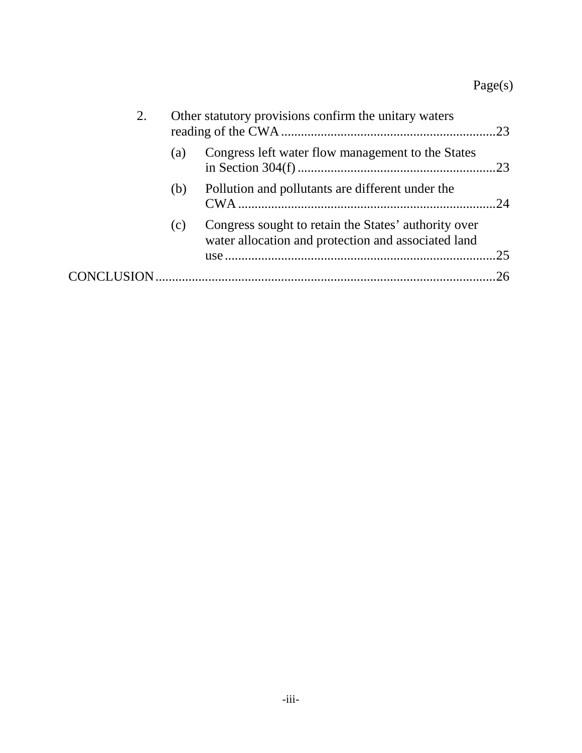| 2.  | Other statutory provisions confirm the unitary waters                                                       |     |
|-----|-------------------------------------------------------------------------------------------------------------|-----|
| (a) | Congress left water flow management to the States                                                           |     |
| (b) | Pollution and pollutants are different under the                                                            |     |
| (c) | Congress sought to retain the States' authority over<br>water allocation and protection and associated land |     |
|     |                                                                                                             | 25  |
|     |                                                                                                             | .26 |
|     |                                                                                                             |     |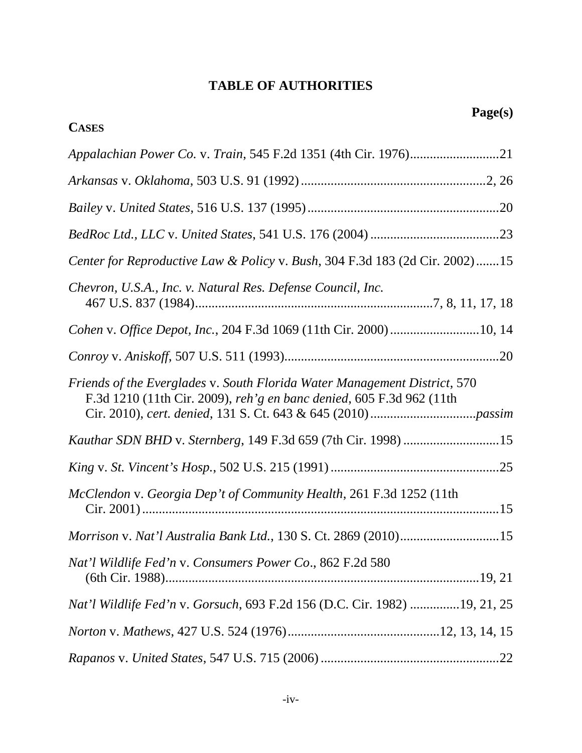# **TABLE OF AUTHORITIES**

**CASES**

| Center for Reproductive Law & Policy v. Bush, 304 F.3d 183 (2d Cir. 2002)15                                                                       |  |
|---------------------------------------------------------------------------------------------------------------------------------------------------|--|
| Chevron, U.S.A., Inc. v. Natural Res. Defense Council, Inc.                                                                                       |  |
| Cohen v. Office Depot, Inc., 204 F.3d 1069 (11th Cir. 2000) 10, 14                                                                                |  |
|                                                                                                                                                   |  |
| Friends of the Everglades v. South Florida Water Management District, 570<br>F.3d 1210 (11th Cir. 2009), reh'g en banc denied, 605 F.3d 962 (11th |  |
|                                                                                                                                                   |  |
|                                                                                                                                                   |  |
| McClendon v. Georgia Dep't of Community Health, 261 F.3d 1252 (11th                                                                               |  |
| Morrison v. Nat'l Australia Bank Ltd., 130 S. Ct. 2869 (2010)15                                                                                   |  |
| Nat'l Wildlife Fed'n v. Consumers Power Co., 862 F.2d 580                                                                                         |  |
| Nat'l Wildlife Fed'n v. Gorsuch, 693 F.2d 156 (D.C. Cir. 1982) 19, 21, 25                                                                         |  |
|                                                                                                                                                   |  |
|                                                                                                                                                   |  |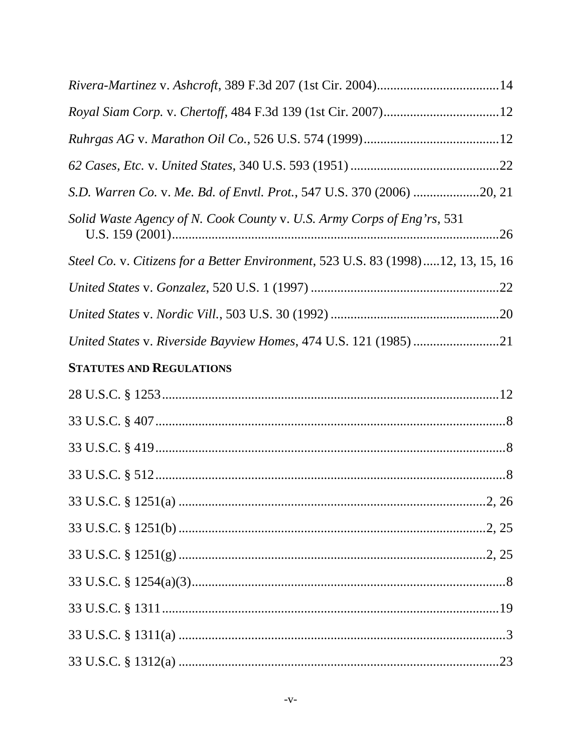| Royal Siam Corp. v. Chertoff, 484 F.3d 139 (1st Cir. 2007)12                     |  |
|----------------------------------------------------------------------------------|--|
|                                                                                  |  |
|                                                                                  |  |
| S.D. Warren Co. v. Me. Bd. of Envtl. Prot., 547 U.S. 370 (2006) 20, 21           |  |
| Solid Waste Agency of N. Cook County v. U.S. Army Corps of Eng'rs, 531           |  |
| Steel Co. v. Citizens for a Better Environment, 523 U.S. 83 (1998)12, 13, 15, 16 |  |
|                                                                                  |  |
|                                                                                  |  |
| United States v. Riverside Bayview Homes, 474 U.S. 121 (1985) 21                 |  |
| <b>STATUTES AND REGULATIONS</b>                                                  |  |
|                                                                                  |  |
|                                                                                  |  |
|                                                                                  |  |
|                                                                                  |  |
|                                                                                  |  |
|                                                                                  |  |
|                                                                                  |  |
|                                                                                  |  |
|                                                                                  |  |
|                                                                                  |  |
|                                                                                  |  |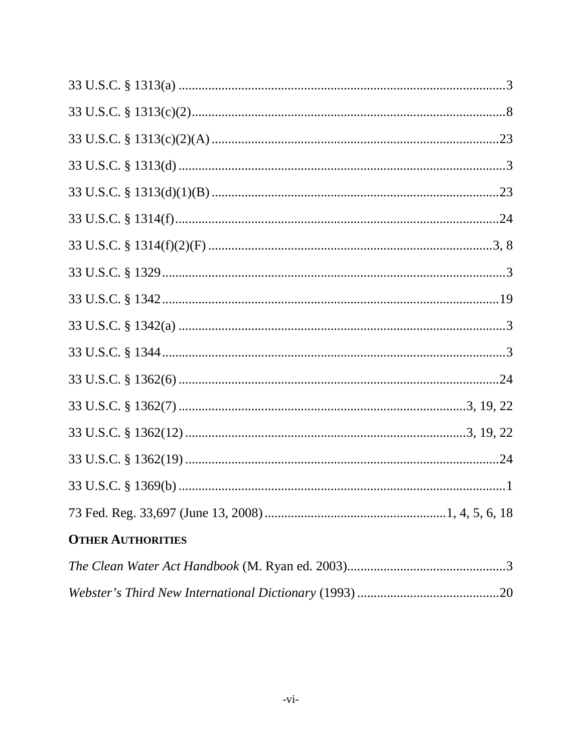| <b>OTHER AUTHORITIES</b> |
|--------------------------|
|                          |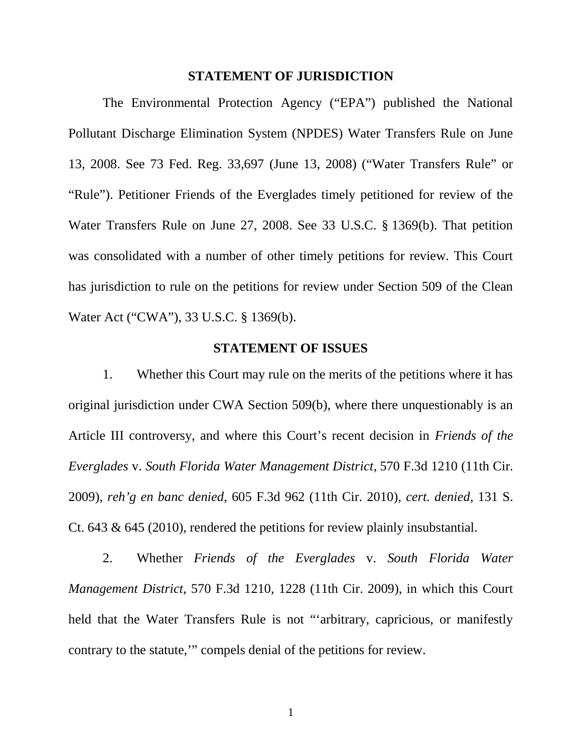#### **STATEMENT OF JURISDICTION**

The Environmental Protection Agency ("EPA") published the National Pollutant Discharge Elimination System (NPDES) Water Transfers Rule on June 13, 2008. See 73 Fed. Reg. 33,697 (June 13, 2008) ("Water Transfers Rule" or "Rule"). Petitioner Friends of the Everglades timely petitioned for review of the Water Transfers Rule on June 27, 2008. See 33 U.S.C. § 1369(b). That petition was consolidated with a number of other timely petitions for review. This Court has jurisdiction to rule on the petitions for review under Section 509 of the Clean Water Act ("CWA"), 33 U.S.C. § 1369(b).

#### **STATEMENT OF ISSUES**

1. Whether this Court may rule on the merits of the petitions where it has original jurisdiction under CWA Section 509(b), where there unquestionably is an Article III controversy, and where this Court's recent decision in *Friends of the Everglades* v. *South Florida Water Management District*, 570 F.3d 1210 (11th Cir. 2009), *reh'g en banc denied*, 605 F.3d 962 (11th Cir. 2010), *cert. denied*, 131 S. Ct. 643 & 645 (2010), rendered the petitions for review plainly insubstantial.

2. Whether *Friends of the Everglades* v. *South Florida Water Management District*, 570 F.3d 1210, 1228 (11th Cir. 2009), in which this Court held that the Water Transfers Rule is not "'arbitrary, capricious, or manifestly contrary to the statute,'" compels denial of the petitions for review.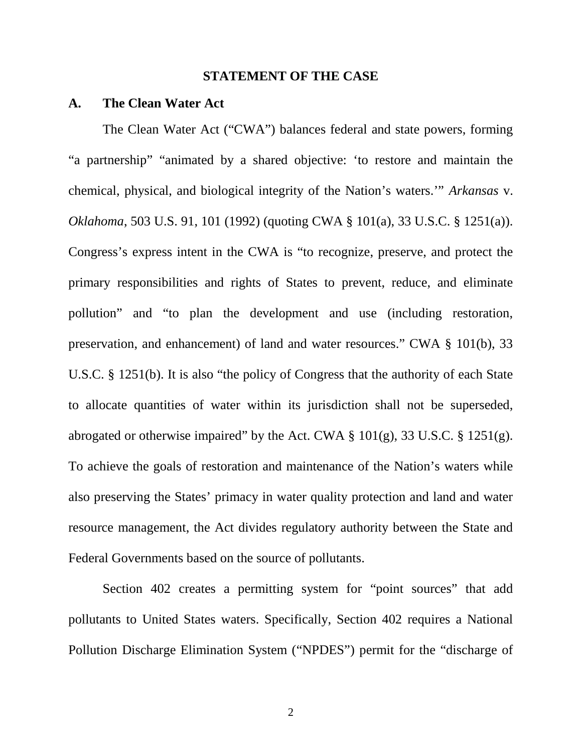#### **STATEMENT OF THE CASE**

#### **A. The Clean Water Act**

The Clean Water Act ("CWA") balances federal and state powers, forming "a partnership" "animated by a shared objective: 'to restore and maintain the chemical, physical, and biological integrity of the Nation's waters.'" *Arkansas* v. *Oklahoma*, 503 U.S. 91, 101 (1992) (quoting CWA § 101(a), 33 U.S.C. § 1251(a)). Congress's express intent in the CWA is "to recognize, preserve, and protect the primary responsibilities and rights of States to prevent, reduce, and eliminate pollution" and "to plan the development and use (including restoration, preservation, and enhancement) of land and water resources." CWA § 101(b), 33 U.S.C. § 1251(b). It is also "the policy of Congress that the authority of each State to allocate quantities of water within its jurisdiction shall not be superseded, abrogated or otherwise impaired" by the Act. CWA  $\S$  101(g), 33 U.S.C.  $\S$  1251(g). To achieve the goals of restoration and maintenance of the Nation's waters while also preserving the States' primacy in water quality protection and land and water resource management, the Act divides regulatory authority between the State and Federal Governments based on the source of pollutants.

Section 402 creates a permitting system for "point sources" that add pollutants to United States waters. Specifically, Section 402 requires a National Pollution Discharge Elimination System ("NPDES") permit for the "discharge of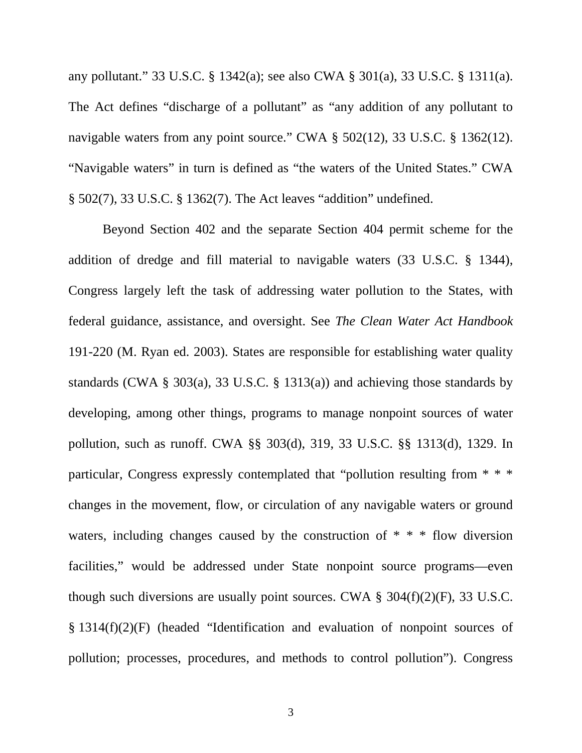any pollutant." 33 U.S.C. § 1342(a); see also CWA § 301(a), 33 U.S.C. § 1311(a). The Act defines "discharge of a pollutant" as "any addition of any pollutant to navigable waters from any point source." CWA § 502(12), 33 U.S.C. § 1362(12). "Navigable waters" in turn is defined as "the waters of the United States." CWA § 502(7), 33 U.S.C. § 1362(7). The Act leaves "addition" undefined.

Beyond Section 402 and the separate Section 404 permit scheme for the addition of dredge and fill material to navigable waters (33 U.S.C. § 1344), Congress largely left the task of addressing water pollution to the States, with federal guidance, assistance, and oversight. See *The Clean Water Act Handbook* 191-220 (M. Ryan ed. 2003). States are responsible for establishing water quality standards (CWA § 303(a), 33 U.S.C. § 1313(a)) and achieving those standards by developing, among other things, programs to manage nonpoint sources of water pollution, such as runoff. CWA §§ 303(d), 319, 33 U.S.C. §§ 1313(d), 1329. In particular, Congress expressly contemplated that "pollution resulting from \* \* \* changes in the movement, flow, or circulation of any navigable waters or ground waters, including changes caused by the construction of  $* * *$  flow diversion facilities," would be addressed under State nonpoint source programs—even though such diversions are usually point sources. CWA  $\S$  304(f)(2)(F), 33 U.S.C. § 1314(f)(2)(F) (headed "Identification and evaluation of nonpoint sources of pollution; processes, procedures, and methods to control pollution"). Congress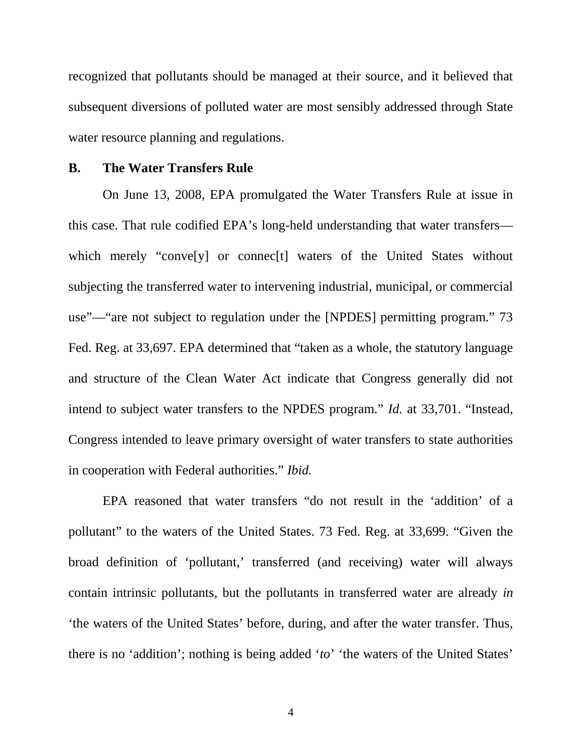recognized that pollutants should be managed at their source, and it believed that subsequent diversions of polluted water are most sensibly addressed through State water resource planning and regulations.

### **B. The Water Transfers Rule**

On June 13, 2008, EPA promulgated the Water Transfers Rule at issue in this case. That rule codified EPA's long-held understanding that water transfers which merely "convely" or connected waters of the United States without subjecting the transferred water to intervening industrial, municipal, or commercial use"—"are not subject to regulation under the [NPDES] permitting program." 73 Fed. Reg. at 33,697. EPA determined that "taken as a whole, the statutory language and structure of the Clean Water Act indicate that Congress generally did not intend to subject water transfers to the NPDES program." *Id.* at 33,701. "Instead, Congress intended to leave primary oversight of water transfers to state authorities in cooperation with Federal authorities." *Ibid.*

EPA reasoned that water transfers "do not result in the 'addition' of a pollutant" to the waters of the United States. 73 Fed. Reg. at 33,699. "Given the broad definition of 'pollutant,' transferred (and receiving) water will always contain intrinsic pollutants, but the pollutants in transferred water are already *in* 'the waters of the United States' before, during, and after the water transfer. Thus, there is no 'addition'; nothing is being added '*to*' 'the waters of the United States'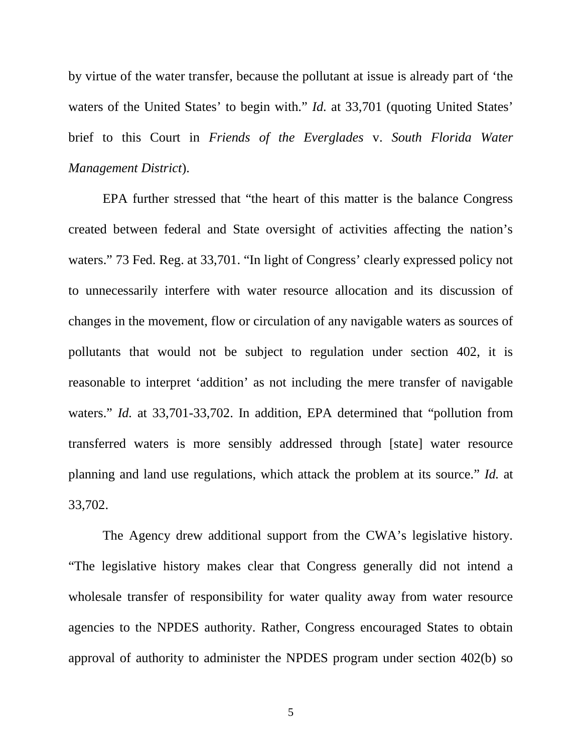by virtue of the water transfer, because the pollutant at issue is already part of 'the waters of the United States' to begin with." *Id.* at 33,701 (quoting United States' brief to this Court in *Friends of the Everglades* v. *South Florida Water Management District*).

EPA further stressed that "the heart of this matter is the balance Congress created between federal and State oversight of activities affecting the nation's waters." 73 Fed. Reg. at 33,701. "In light of Congress' clearly expressed policy not to unnecessarily interfere with water resource allocation and its discussion of changes in the movement, flow or circulation of any navigable waters as sources of pollutants that would not be subject to regulation under section 402, it is reasonable to interpret 'addition' as not including the mere transfer of navigable waters." *Id.* at 33,701-33,702. In addition, EPA determined that "pollution from transferred waters is more sensibly addressed through [state] water resource planning and land use regulations, which attack the problem at its source." *Id.* at 33,702.

The Agency drew additional support from the CWA's legislative history. "The legislative history makes clear that Congress generally did not intend a wholesale transfer of responsibility for water quality away from water resource agencies to the NPDES authority. Rather, Congress encouraged States to obtain approval of authority to administer the NPDES program under section 402(b) so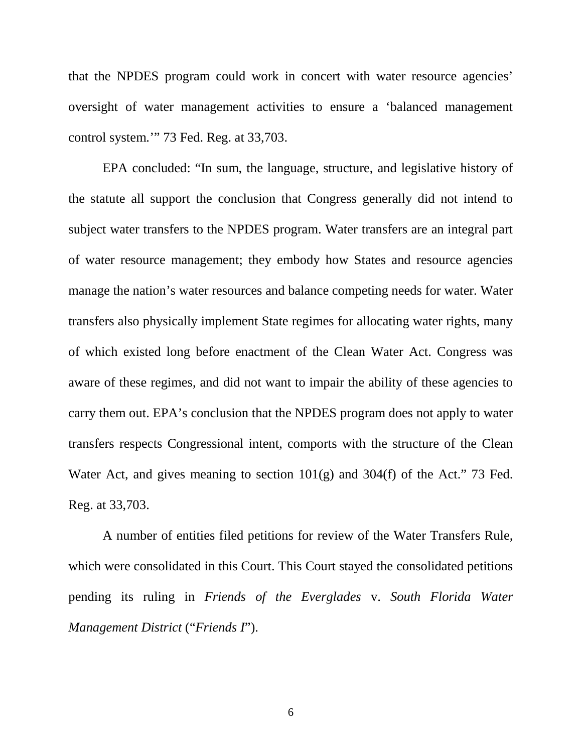that the NPDES program could work in concert with water resource agencies' oversight of water management activities to ensure a 'balanced management control system.'" 73 Fed. Reg. at 33,703.

EPA concluded: "In sum, the language, structure, and legislative history of the statute all support the conclusion that Congress generally did not intend to subject water transfers to the NPDES program. Water transfers are an integral part of water resource management; they embody how States and resource agencies manage the nation's water resources and balance competing needs for water. Water transfers also physically implement State regimes for allocating water rights, many of which existed long before enactment of the Clean Water Act. Congress was aware of these regimes, and did not want to impair the ability of these agencies to carry them out. EPA's conclusion that the NPDES program does not apply to water transfers respects Congressional intent, comports with the structure of the Clean Water Act, and gives meaning to section 101(g) and 304(f) of the Act." 73 Fed. Reg. at 33,703.

A number of entities filed petitions for review of the Water Transfers Rule, which were consolidated in this Court. This Court stayed the consolidated petitions pending its ruling in *Friends of the Everglades* v. *South Florida Water Management District* ("*Friends I*").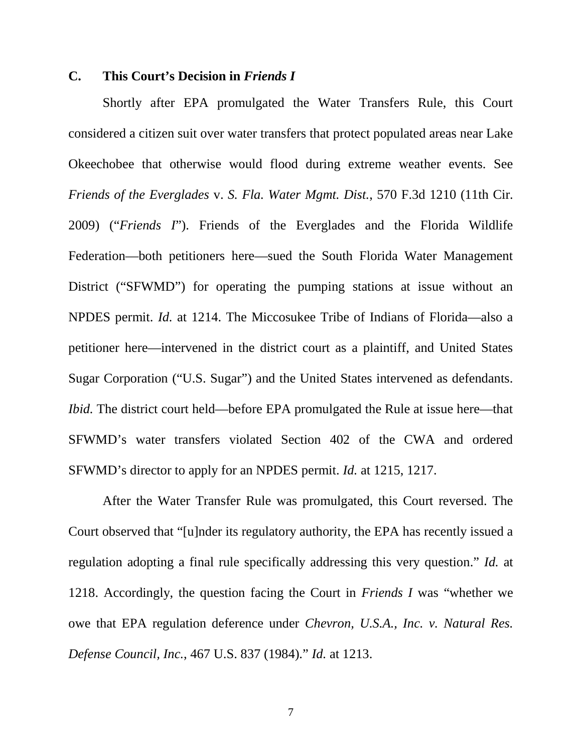### **C. This Court's Decision in** *Friends I*

Shortly after EPA promulgated the Water Transfers Rule, this Court considered a citizen suit over water transfers that protect populated areas near Lake Okeechobee that otherwise would flood during extreme weather events. See *Friends of the Everglades* v. *S. Fla. Water Mgmt. Dist.*, 570 F.3d 1210 (11th Cir. 2009) ("*Friends I*"). Friends of the Everglades and the Florida Wildlife Federation—both petitioners here—sued the South Florida Water Management District ("SFWMD") for operating the pumping stations at issue without an NPDES permit. *Id.* at 1214. The Miccosukee Tribe of Indians of Florida—also a petitioner here—intervened in the district court as a plaintiff, and United States Sugar Corporation ("U.S. Sugar") and the United States intervened as defendants. *Ibid.* The district court held—before EPA promulgated the Rule at issue here—that SFWMD's water transfers violated Section 402 of the CWA and ordered SFWMD's director to apply for an NPDES permit. *Id.* at 1215, 1217.

After the Water Transfer Rule was promulgated, this Court reversed. The Court observed that "[u]nder its regulatory authority, the EPA has recently issued a regulation adopting a final rule specifically addressing this very question." *Id.* at 1218. Accordingly, the question facing the Court in *Friends I* was "whether we owe that EPA regulation deference under *Chevron, U.S.A., Inc. v. Natural Res. Defense Council, Inc.*, 467 U.S. 837 (1984)." *Id.* at 1213.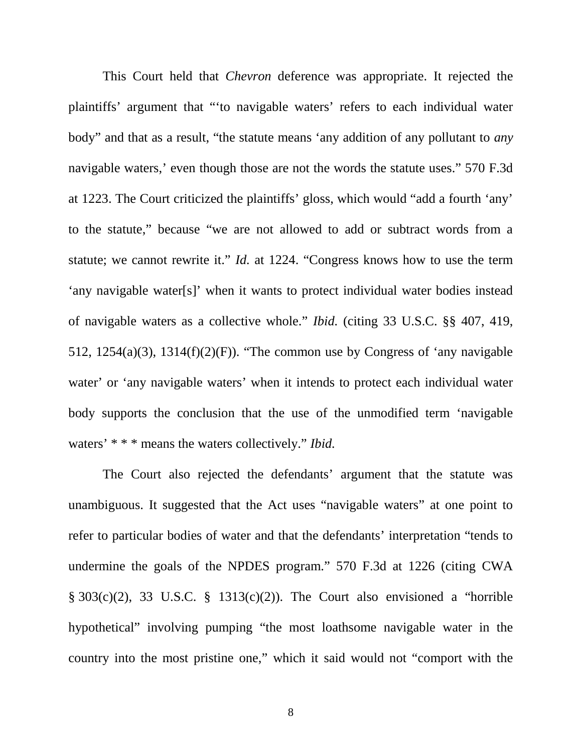This Court held that *Chevron* deference was appropriate. It rejected the plaintiffs' argument that "'to navigable waters' refers to each individual water body" and that as a result, "the statute means 'any addition of any pollutant to *any* navigable waters,' even though those are not the words the statute uses." 570 F.3d at 1223. The Court criticized the plaintiffs' gloss, which would "add a fourth 'any' to the statute," because "we are not allowed to add or subtract words from a statute; we cannot rewrite it." *Id.* at 1224. "Congress knows how to use the term 'any navigable water[s]' when it wants to protect individual water bodies instead of navigable waters as a collective whole." *Ibid.* (citing 33 U.S.C. §§ 407, 419, 512, 1254(a)(3), 1314(f)(2)(F)). "The common use by Congress of 'any navigable water' or 'any navigable waters' when it intends to protect each individual water body supports the conclusion that the use of the unmodified term 'navigable waters' \* \* \* means the waters collectively." *Ibid.*

The Court also rejected the defendants' argument that the statute was unambiguous. It suggested that the Act uses "navigable waters" at one point to refer to particular bodies of water and that the defendants' interpretation "tends to undermine the goals of the NPDES program." 570 F.3d at 1226 (citing CWA § 303(c)(2), 33 U.S.C. § 1313(c)(2)). The Court also envisioned a "horrible hypothetical" involving pumping "the most loathsome navigable water in the country into the most pristine one," which it said would not "comport with the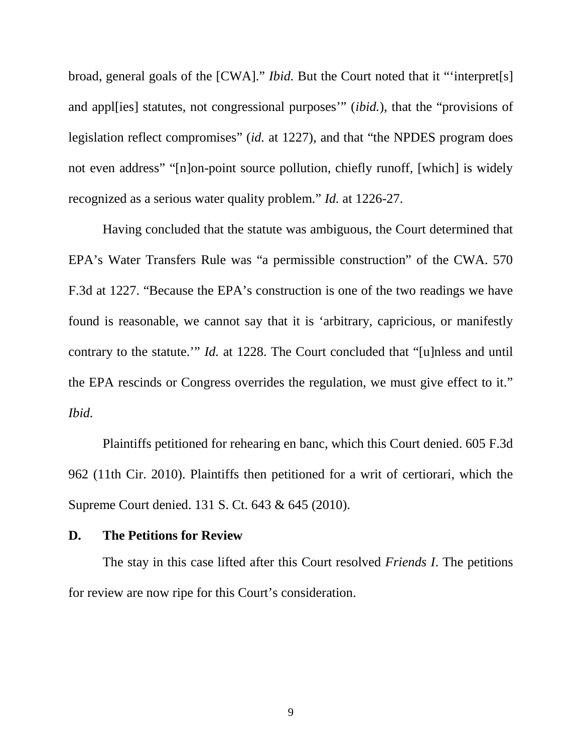broad, general goals of the [CWA]." *Ibid.* But the Court noted that it "'interpret[s] and appl[ies] statutes, not congressional purposes'" (*ibid.*), that the "provisions of legislation reflect compromises" (*id.* at 1227), and that "the NPDES program does not even address" "[n]on-point source pollution, chiefly runoff, [which] is widely recognized as a serious water quality problem." *Id.* at 1226-27.

Having concluded that the statute was ambiguous, the Court determined that EPA's Water Transfers Rule was "a permissible construction" of the CWA. 570 F.3d at 1227. "Because the EPA's construction is one of the two readings we have found is reasonable, we cannot say that it is 'arbitrary, capricious, or manifestly contrary to the statute." *Id.* at 1228. The Court concluded that "[u]nless and until the EPA rescinds or Congress overrides the regulation, we must give effect to it." *Ibid.*

Plaintiffs petitioned for rehearing en banc, which this Court denied. 605 F.3d 962 (11th Cir. 2010). Plaintiffs then petitioned for a writ of certiorari, which the Supreme Court denied. 131 S. Ct. 643 & 645 (2010).

#### **D. The Petitions for Review**

The stay in this case lifted after this Court resolved *Friends I*. The petitions for review are now ripe for this Court's consideration.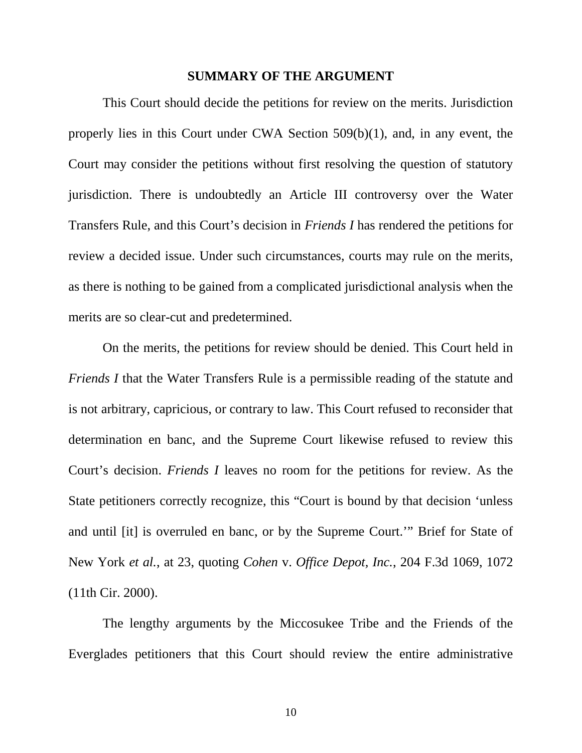#### **SUMMARY OF THE ARGUMENT**

This Court should decide the petitions for review on the merits. Jurisdiction properly lies in this Court under CWA Section 509(b)(1), and, in any event, the Court may consider the petitions without first resolving the question of statutory jurisdiction. There is undoubtedly an Article III controversy over the Water Transfers Rule, and this Court's decision in *Friends I* has rendered the petitions for review a decided issue. Under such circumstances, courts may rule on the merits, as there is nothing to be gained from a complicated jurisdictional analysis when the merits are so clear-cut and predetermined.

On the merits, the petitions for review should be denied. This Court held in *Friends I* that the Water Transfers Rule is a permissible reading of the statute and is not arbitrary, capricious, or contrary to law. This Court refused to reconsider that determination en banc, and the Supreme Court likewise refused to review this Court's decision. *Friends I* leaves no room for the petitions for review. As the State petitioners correctly recognize, this "Court is bound by that decision 'unless and until [it] is overruled en banc, or by the Supreme Court.'" Brief for State of New York *et al.*, at 23, quoting *Cohen* v. *Office Depot, Inc.*, 204 F.3d 1069, 1072 (11th Cir. 2000).

The lengthy arguments by the Miccosukee Tribe and the Friends of the Everglades petitioners that this Court should review the entire administrative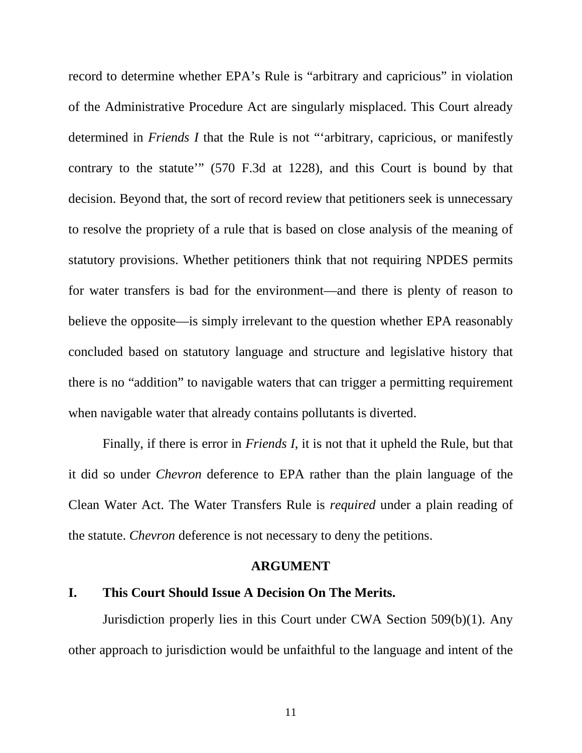record to determine whether EPA's Rule is "arbitrary and capricious" in violation of the Administrative Procedure Act are singularly misplaced. This Court already determined in *Friends I* that the Rule is not "'arbitrary, capricious, or manifestly contrary to the statute'" (570 F.3d at 1228), and this Court is bound by that decision. Beyond that, the sort of record review that petitioners seek is unnecessary to resolve the propriety of a rule that is based on close analysis of the meaning of statutory provisions. Whether petitioners think that not requiring NPDES permits for water transfers is bad for the environment—and there is plenty of reason to believe the opposite—is simply irrelevant to the question whether EPA reasonably concluded based on statutory language and structure and legislative history that there is no "addition" to navigable waters that can trigger a permitting requirement when navigable water that already contains pollutants is diverted.

Finally, if there is error in *Friends I*, it is not that it upheld the Rule, but that it did so under *Chevron* deference to EPA rather than the plain language of the Clean Water Act. The Water Transfers Rule is *required* under a plain reading of the statute. *Chevron* deference is not necessary to deny the petitions.

#### **ARGUMENT**

## **I. This Court Should Issue A Decision On The Merits.**

Jurisdiction properly lies in this Court under CWA Section 509(b)(1). Any other approach to jurisdiction would be unfaithful to the language and intent of the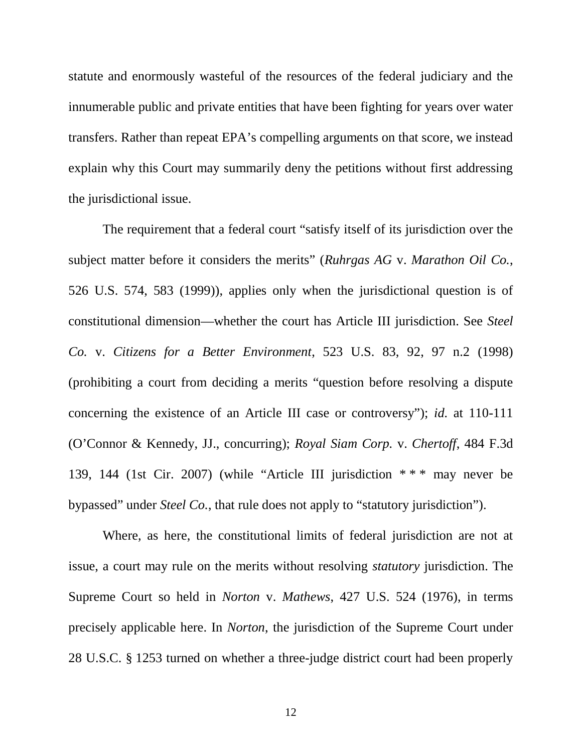statute and enormously wasteful of the resources of the federal judiciary and the innumerable public and private entities that have been fighting for years over water transfers. Rather than repeat EPA's compelling arguments on that score, we instead explain why this Court may summarily deny the petitions without first addressing the jurisdictional issue.

The requirement that a federal court "satisfy itself of its jurisdiction over the subject matter before it considers the merits" (*Ruhrgas AG* v. *Marathon Oil Co.*, 526 U.S. 574, 583 (1999)), applies only when the jurisdictional question is of constitutional dimension—whether the court has Article III jurisdiction. See *Steel Co.* v. *Citizens for a Better Environment*, 523 U.S. 83, 92, 97 n.2 (1998) (prohibiting a court from deciding a merits "question before resolving a dispute concerning the existence of an Article III case or controversy"); *id.* at 110-111 (O'Connor & Kennedy, JJ., concurring); *Royal Siam Corp.* v. *Chertoff*, 484 F.3d 139, 144 (1st Cir. 2007) (while "Article III jurisdiction \* \* \* may never be bypassed" under *Steel Co.*, that rule does not apply to "statutory jurisdiction").

Where, as here, the constitutional limits of federal jurisdiction are not at issue, a court may rule on the merits without resolving *statutory* jurisdiction. The Supreme Court so held in *Norton* v. *Mathews*, 427 U.S. 524 (1976), in terms precisely applicable here. In *Norton*, the jurisdiction of the Supreme Court under 28 U.S.C. § 1253 turned on whether a three-judge district court had been properly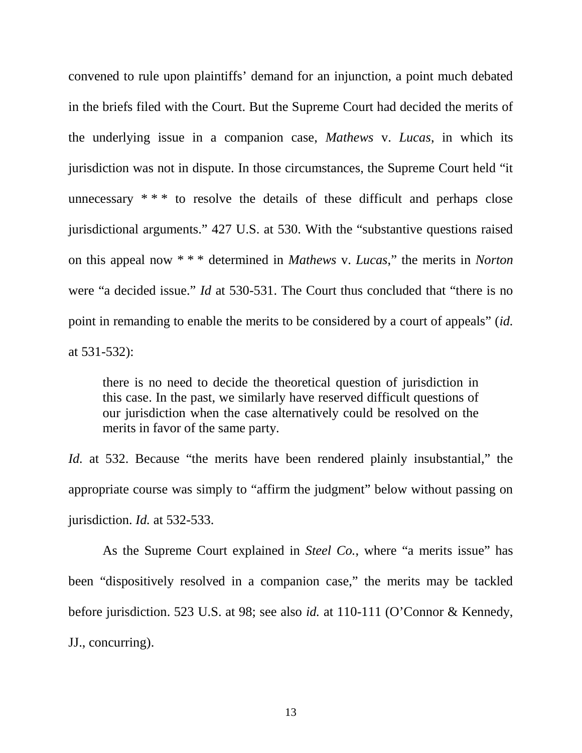convened to rule upon plaintiffs' demand for an injunction, a point much debated in the briefs filed with the Court. But the Supreme Court had decided the merits of the underlying issue in a companion case, *Mathews* v. *Lucas*, in which its jurisdiction was not in dispute. In those circumstances, the Supreme Court held "it unnecessary  $***$  to resolve the details of these difficult and perhaps close jurisdictional arguments." 427 U.S. at 530. With the "substantive questions raised on this appeal now \* \* \* determined in *Mathews* v. *Lucas*," the merits in *Norton* were "a decided issue." *Id* at 530-531. The Court thus concluded that "there is no point in remanding to enable the merits to be considered by a court of appeals" (*id.* at 531-532):

there is no need to decide the theoretical question of jurisdiction in this case. In the past, we similarly have reserved difficult questions of our jurisdiction when the case alternatively could be resolved on the merits in favor of the same party.

*Id.* at 532. Because "the merits have been rendered plainly insubstantial," the appropriate course was simply to "affirm the judgment" below without passing on jurisdiction. *Id.* at 532-533.

As the Supreme Court explained in *Steel Co.*, where "a merits issue" has been "dispositively resolved in a companion case," the merits may be tackled before jurisdiction. 523 U.S. at 98; see also *id.* at 110-111 (O'Connor & Kennedy, JJ., concurring).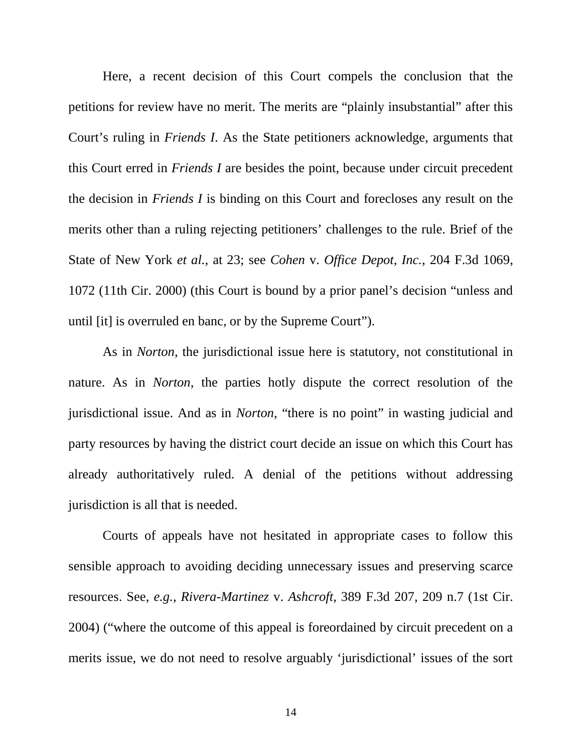Here, a recent decision of this Court compels the conclusion that the petitions for review have no merit. The merits are "plainly insubstantial" after this Court's ruling in *Friends I*. As the State petitioners acknowledge, arguments that this Court erred in *Friends I* are besides the point, because under circuit precedent the decision in *Friends I* is binding on this Court and forecloses any result on the merits other than a ruling rejecting petitioners' challenges to the rule. Brief of the State of New York *et al.*, at 23; see *Cohen* v. *Office Depot, Inc.*, 204 F.3d 1069, 1072 (11th Cir. 2000) (this Court is bound by a prior panel's decision "unless and until [it] is overruled en banc, or by the Supreme Court").

As in *Norton*, the jurisdictional issue here is statutory, not constitutional in nature. As in *Norton*, the parties hotly dispute the correct resolution of the jurisdictional issue. And as in *Norton*, "there is no point" in wasting judicial and party resources by having the district court decide an issue on which this Court has already authoritatively ruled. A denial of the petitions without addressing jurisdiction is all that is needed.

Courts of appeals have not hesitated in appropriate cases to follow this sensible approach to avoiding deciding unnecessary issues and preserving scarce resources. See, *e.g.*, *Rivera-Martinez* v. *Ashcroft*, 389 F.3d 207, 209 n.7 (1st Cir. 2004) ("where the outcome of this appeal is foreordained by circuit precedent on a merits issue, we do not need to resolve arguably 'jurisdictional' issues of the sort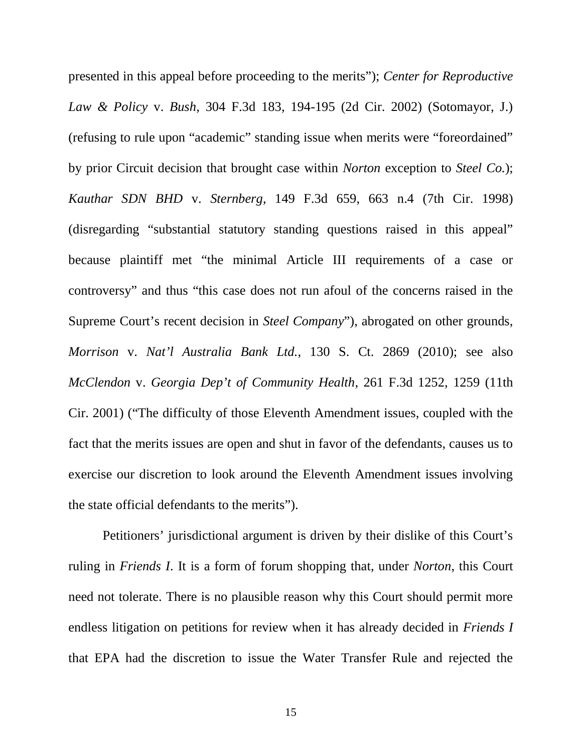presented in this appeal before proceeding to the merits"); *Center for Reproductive Law & Policy* v. *Bush*, 304 F.3d 183, 194-195 (2d Cir. 2002) (Sotomayor, J.) (refusing to rule upon "academic" standing issue when merits were "foreordained" by prior Circuit decision that brought case within *Norton* exception to *Steel Co.*); *Kauthar SDN BHD* v. *Sternberg*, 149 F.3d 659, 663 n.4 (7th Cir. 1998) (disregarding "substantial statutory standing questions raised in this appeal" because plaintiff met "the minimal Article III requirements of a case or controversy" and thus "this case does not run afoul of the concerns raised in the Supreme Court's recent decision in *Steel Company*"), abrogated on other grounds, *Morrison* v. *Nat'l Australia Bank Ltd.*, 130 S. Ct. 2869 (2010); see also *McClendon* v. *Georgia Dep't of Community Health*, 261 F.3d 1252, 1259 (11th Cir. 2001) ("The difficulty of those Eleventh Amendment issues, coupled with the fact that the merits issues are open and shut in favor of the defendants, causes us to exercise our discretion to look around the Eleventh Amendment issues involving the state official defendants to the merits").

Petitioners' jurisdictional argument is driven by their dislike of this Court's ruling in *Friends I*. It is a form of forum shopping that, under *Norton*, this Court need not tolerate. There is no plausible reason why this Court should permit more endless litigation on petitions for review when it has already decided in *Friends I* that EPA had the discretion to issue the Water Transfer Rule and rejected the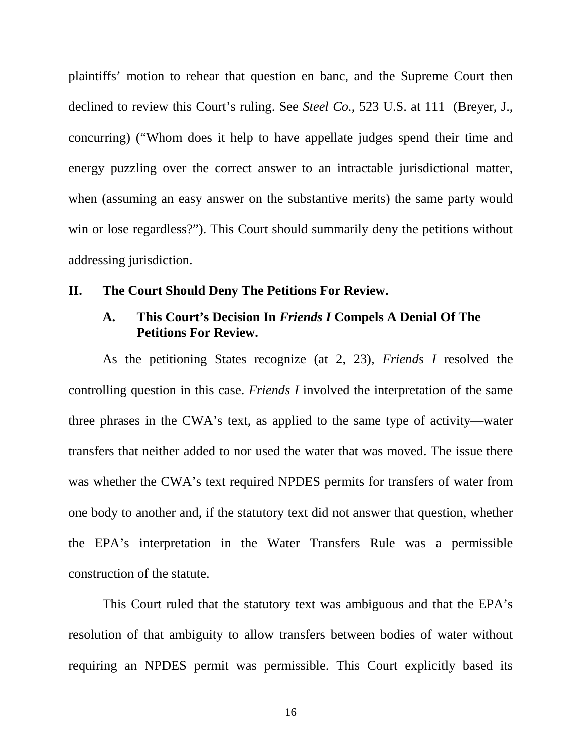plaintiffs' motion to rehear that question en banc, and the Supreme Court then declined to review this Court's ruling. See *Steel Co.*, 523 U.S. at 111 (Breyer, J., concurring) ("Whom does it help to have appellate judges spend their time and energy puzzling over the correct answer to an intractable jurisdictional matter, when (assuming an easy answer on the substantive merits) the same party would win or lose regardless?"). This Court should summarily deny the petitions without addressing jurisdiction.

## **II. The Court Should Deny The Petitions For Review.**

## **A. This Court's Decision In** *Friends I* **Compels A Denial Of The Petitions For Review.**

As the petitioning States recognize (at 2, 23), *Friends I* resolved the controlling question in this case. *Friends I* involved the interpretation of the same three phrases in the CWA's text, as applied to the same type of activity—water transfers that neither added to nor used the water that was moved. The issue there was whether the CWA's text required NPDES permits for transfers of water from one body to another and, if the statutory text did not answer that question, whether the EPA's interpretation in the Water Transfers Rule was a permissible construction of the statute.

This Court ruled that the statutory text was ambiguous and that the EPA's resolution of that ambiguity to allow transfers between bodies of water without requiring an NPDES permit was permissible. This Court explicitly based its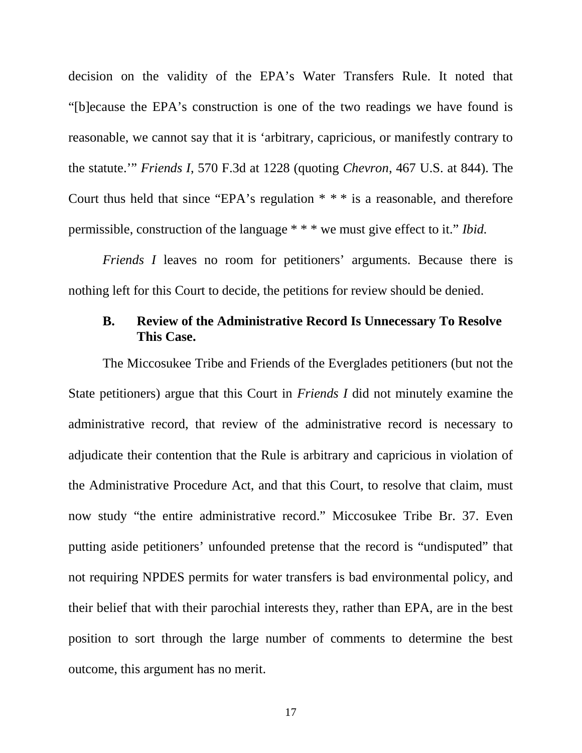decision on the validity of the EPA's Water Transfers Rule. It noted that "[b]ecause the EPA's construction is one of the two readings we have found is reasonable, we cannot say that it is 'arbitrary, capricious, or manifestly contrary to the statute.'" *Friends I*, 570 F.3d at 1228 (quoting *Chevron*, 467 U.S. at 844). The Court thus held that since "EPA's regulation \* \* \* is a reasonable, and therefore permissible, construction of the language \* \* \* we must give effect to it." *Ibid.*

*Friends I* leaves no room for petitioners' arguments. Because there is nothing left for this Court to decide, the petitions for review should be denied.

# **B. Review of the Administrative Record Is Unnecessary To Resolve This Case.**

The Miccosukee Tribe and Friends of the Everglades petitioners (but not the State petitioners) argue that this Court in *Friends I* did not minutely examine the administrative record, that review of the administrative record is necessary to adjudicate their contention that the Rule is arbitrary and capricious in violation of the Administrative Procedure Act, and that this Court, to resolve that claim, must now study "the entire administrative record." Miccosukee Tribe Br. 37. Even putting aside petitioners' unfounded pretense that the record is "undisputed" that not requiring NPDES permits for water transfers is bad environmental policy, and their belief that with their parochial interests they, rather than EPA, are in the best position to sort through the large number of comments to determine the best outcome, this argument has no merit.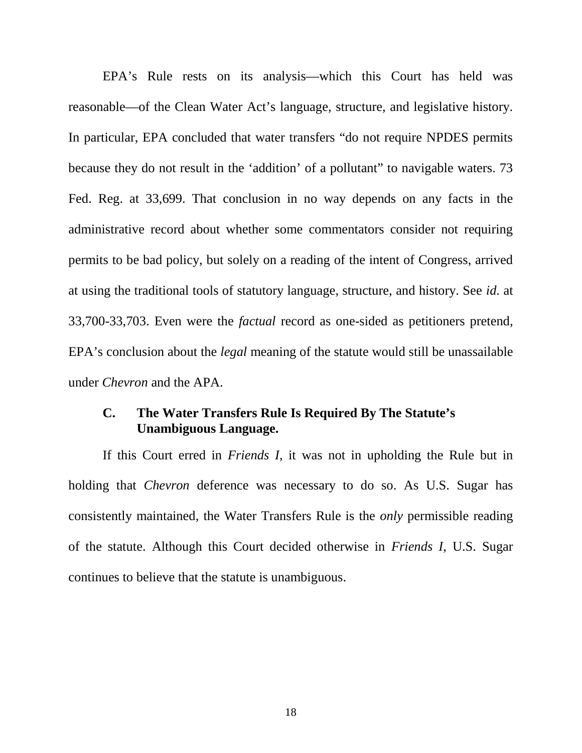EPA's Rule rests on its analysis—which this Court has held was reasonable—of the Clean Water Act's language, structure, and legislative history. In particular, EPA concluded that water transfers "do not require NPDES permits because they do not result in the 'addition' of a pollutant" to navigable waters. 73 Fed. Reg. at 33,699. That conclusion in no way depends on any facts in the administrative record about whether some commentators consider not requiring permits to be bad policy, but solely on a reading of the intent of Congress, arrived at using the traditional tools of statutory language, structure, and history. See *id.* at 33,700-33,703. Even were the *factual* record as one-sided as petitioners pretend, EPA's conclusion about the *legal* meaning of the statute would still be unassailable under *Chevron* and the APA.

## **C. The Water Transfers Rule Is Required By The Statute's Unambiguous Language.**

If this Court erred in *Friends I*, it was not in upholding the Rule but in holding that *Chevron* deference was necessary to do so. As U.S. Sugar has consistently maintained, the Water Transfers Rule is the *only* permissible reading of the statute. Although this Court decided otherwise in *Friends I*, U.S. Sugar continues to believe that the statute is unambiguous.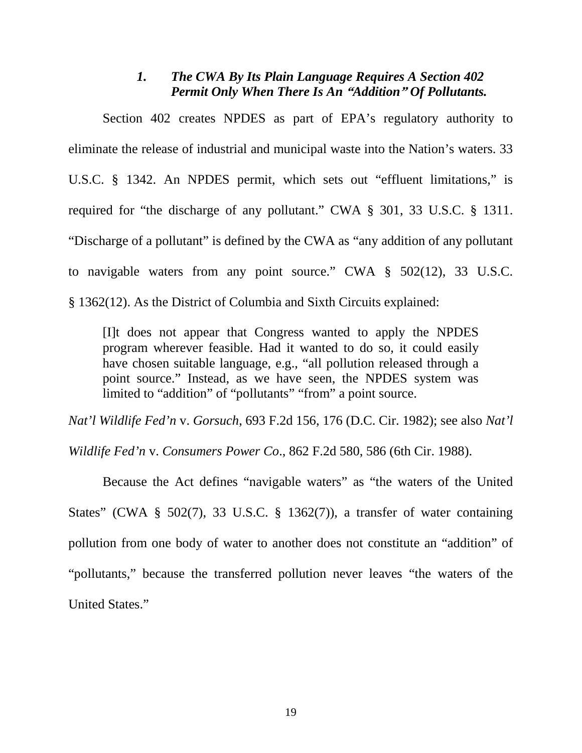# *1. The CWA By Its Plain Language Requires A Section 402 Permit Only When There Is An* **"***Addition***"** *Of Pollutants.*

Section 402 creates NPDES as part of EPA's regulatory authority to eliminate the release of industrial and municipal waste into the Nation's waters. 33 U.S.C. § 1342. An NPDES permit, which sets out "effluent limitations," is required for "the discharge of any pollutant." CWA § 301, 33 U.S.C. § 1311. "Discharge of a pollutant" is defined by the CWA as "any addition of any pollutant to navigable waters from any point source." CWA § 502(12), 33 U.S.C. § 1362(12). As the District of Columbia and Sixth Circuits explained:

[I]t does not appear that Congress wanted to apply the NPDES program wherever feasible. Had it wanted to do so, it could easily have chosen suitable language, e.g., "all pollution released through a point source." Instead, as we have seen, the NPDES system was limited to "addition" of "pollutants" "from" a point source.

*Nat'l Wildlife Fed'n* v. *Gorsuch*, 693 F.2d 156, 176 (D.C. Cir. 1982); see also *Nat'l*

*Wildlife Fed'n* v. *Consumers Power Co*., 862 F.2d 580, 586 (6th Cir. 1988).

Because the Act defines "navigable waters" as "the waters of the United States" (CWA § 502(7), 33 U.S.C. § 1362(7)), a transfer of water containing pollution from one body of water to another does not constitute an "addition" of "pollutants," because the transferred pollution never leaves "the waters of the United States."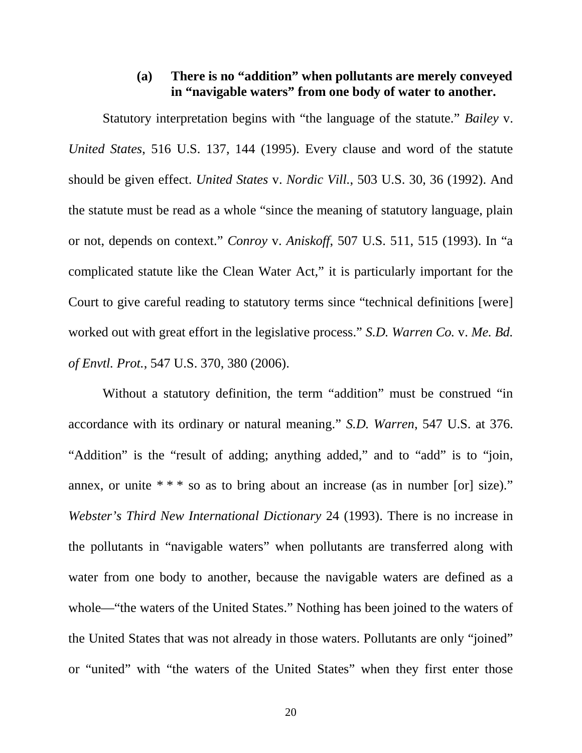# **(a) There is no "addition" when pollutants are merely conveyed in "navigable waters" from one body of water to another.**

Statutory interpretation begins with "the language of the statute." *Bailey* v. *United States*, 516 U.S. 137, 144 (1995). Every clause and word of the statute should be given effect. *United States* v. *Nordic Vill.*, 503 U.S. 30, 36 (1992). And the statute must be read as a whole "since the meaning of statutory language, plain or not, depends on context." *Conroy* v. *Aniskoff*, 507 U.S. 511, 515 (1993). In "a complicated statute like the Clean Water Act," it is particularly important for the Court to give careful reading to statutory terms since "technical definitions [were] worked out with great effort in the legislative process." *S.D. Warren Co.* v. *Me. Bd. of Envtl. Prot.*, 547 U.S. 370, 380 (2006).

Without a statutory definition, the term "addition" must be construed "in accordance with its ordinary or natural meaning." *S.D. Warren*, 547 U.S. at 376. "Addition" is the "result of adding; anything added," and to "add" is to "join, annex, or unite  $***$  so as to bring about an increase (as in number [or] size)." *Webster's Third New International Dictionary* 24 (1993). There is no increase in the pollutants in "navigable waters" when pollutants are transferred along with water from one body to another, because the navigable waters are defined as a whole—"the waters of the United States." Nothing has been joined to the waters of the United States that was not already in those waters. Pollutants are only "joined" or "united" with "the waters of the United States" when they first enter those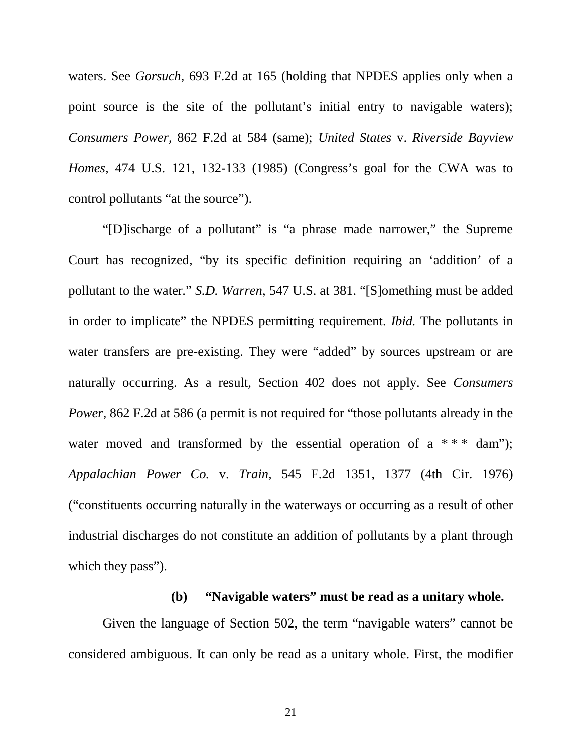waters. See *Gorsuch*, 693 F.2d at 165 (holding that NPDES applies only when a point source is the site of the pollutant's initial entry to navigable waters); *Consumers Power*, 862 F.2d at 584 (same); *United States* v. *Riverside Bayview Homes*, 474 U.S. 121, 132-133 (1985) (Congress's goal for the CWA was to control pollutants "at the source").

"[D]ischarge of a pollutant" is "a phrase made narrower," the Supreme Court has recognized, "by its specific definition requiring an 'addition' of a pollutant to the water." *S.D. Warren*, 547 U.S. at 381. "[S]omething must be added in order to implicate" the NPDES permitting requirement. *Ibid.* The pollutants in water transfers are pre-existing. They were "added" by sources upstream or are naturally occurring. As a result, Section 402 does not apply. See *Consumers Power*, 862 F.2d at 586 (a permit is not required for "those pollutants already in the water moved and transformed by the essential operation of a  $***$  dam"); *Appalachian Power Co.* v. *Train*, 545 F.2d 1351, 1377 (4th Cir. 1976) ("constituents occurring naturally in the waterways or occurring as a result of other industrial discharges do not constitute an addition of pollutants by a plant through which they pass").

#### **(b) "Navigable waters" must be read as a unitary whole.**

Given the language of Section 502, the term "navigable waters" cannot be considered ambiguous. It can only be read as a unitary whole. First, the modifier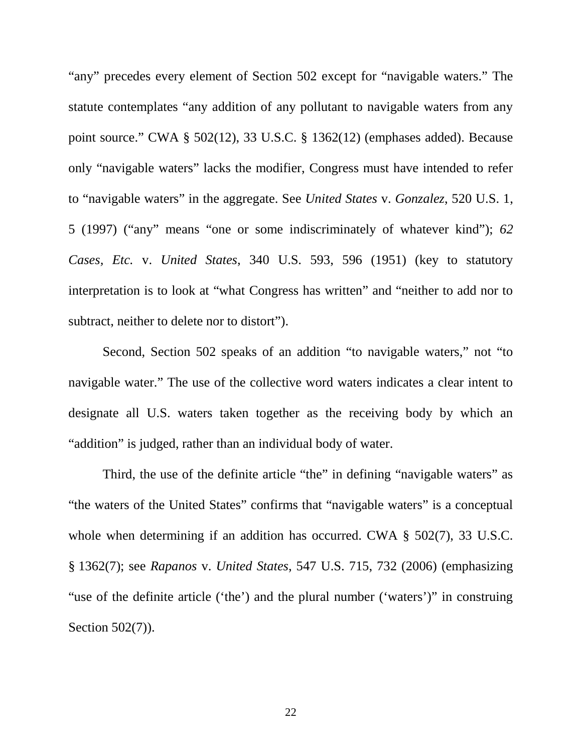"any" precedes every element of Section 502 except for "navigable waters." The statute contemplates "any addition of any pollutant to navigable waters from any point source." CWA § 502(12), 33 U.S.C. § 1362(12) (emphases added). Because only "navigable waters" lacks the modifier, Congress must have intended to refer to "navigable waters" in the aggregate. See *United States* v. *Gonzalez*, 520 U.S. 1, 5 (1997) ("any" means "one or some indiscriminately of whatever kind"); *62 Cases, Etc.* v. *United States*, 340 U.S. 593, 596 (1951) (key to statutory interpretation is to look at "what Congress has written" and "neither to add nor to subtract, neither to delete nor to distort").

Second, Section 502 speaks of an addition "to navigable waters," not "to navigable water." The use of the collective word waters indicates a clear intent to designate all U.S. waters taken together as the receiving body by which an "addition" is judged, rather than an individual body of water.

Third, the use of the definite article "the" in defining "navigable waters" as "the waters of the United States" confirms that "navigable waters" is a conceptual whole when determining if an addition has occurred. CWA § 502(7), 33 U.S.C. § 1362(7); see *Rapanos* v. *United States*, 547 U.S. 715, 732 (2006) (emphasizing "use of the definite article ('the') and the plural number ('waters')" in construing Section 502(7)).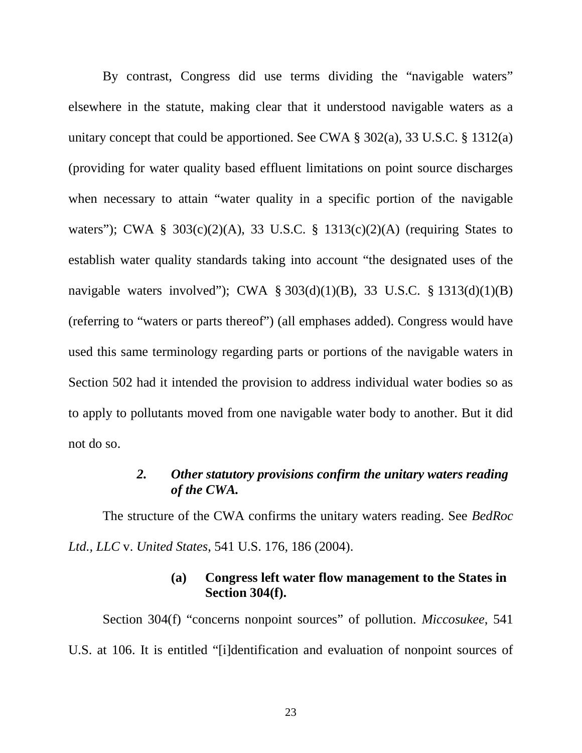By contrast, Congress did use terms dividing the "navigable waters" elsewhere in the statute, making clear that it understood navigable waters as a unitary concept that could be apportioned. See CWA § 302(a), 33 U.S.C. § 1312(a) (providing for water quality based effluent limitations on point source discharges when necessary to attain "water quality in a specific portion of the navigable waters"); CWA  $\S$  303(c)(2)(A), 33 U.S.C.  $\S$  1313(c)(2)(A) (requiring States to establish water quality standards taking into account "the designated uses of the navigable waters involved"); CWA § 303(d)(1)(B), 33 U.S.C. § 1313(d)(1)(B) (referring to "waters or parts thereof") (all emphases added). Congress would have used this same terminology regarding parts or portions of the navigable waters in Section 502 had it intended the provision to address individual water bodies so as to apply to pollutants moved from one navigable water body to another. But it did not do so.

## *2. Other statutory provisions confirm the unitary waters reading of the CWA.*

The structure of the CWA confirms the unitary waters reading. See *BedRoc Ltd., LLC* v. *United States*, 541 U.S. 176, 186 (2004).

# **(a) Congress left water flow management to the States in Section 304(f).**

Section 304(f) "concerns nonpoint sources" of pollution. *Miccosukee*, 541 U.S. at 106. It is entitled "[i]dentification and evaluation of nonpoint sources of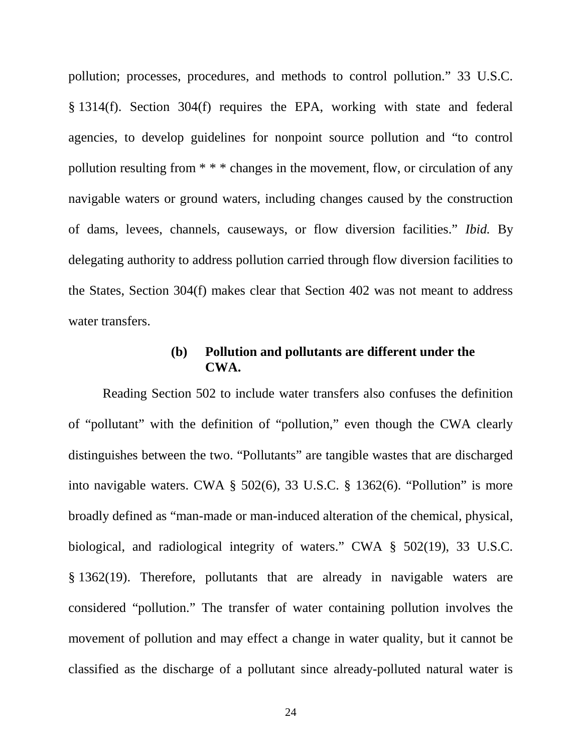pollution; processes, procedures, and methods to control pollution." 33 U.S.C. § 1314(f). Section 304(f) requires the EPA, working with state and federal agencies, to develop guidelines for nonpoint source pollution and "to control pollution resulting from \* \* \* changes in the movement, flow, or circulation of any navigable waters or ground waters, including changes caused by the construction of dams, levees, channels, causeways, or flow diversion facilities." *Ibid.* By delegating authority to address pollution carried through flow diversion facilities to the States, Section 304(f) makes clear that Section 402 was not meant to address water transfers.

## **(b) Pollution and pollutants are different under the CWA.**

Reading Section 502 to include water transfers also confuses the definition of "pollutant" with the definition of "pollution," even though the CWA clearly distinguishes between the two. "Pollutants" are tangible wastes that are discharged into navigable waters. CWA § 502(6), 33 U.S.C. § 1362(6). "Pollution" is more broadly defined as "man-made or man-induced alteration of the chemical, physical, biological, and radiological integrity of waters." CWA § 502(19), 33 U.S.C. § 1362(19). Therefore, pollutants that are already in navigable waters are considered "pollution." The transfer of water containing pollution involves the movement of pollution and may effect a change in water quality, but it cannot be classified as the discharge of a pollutant since already-polluted natural water is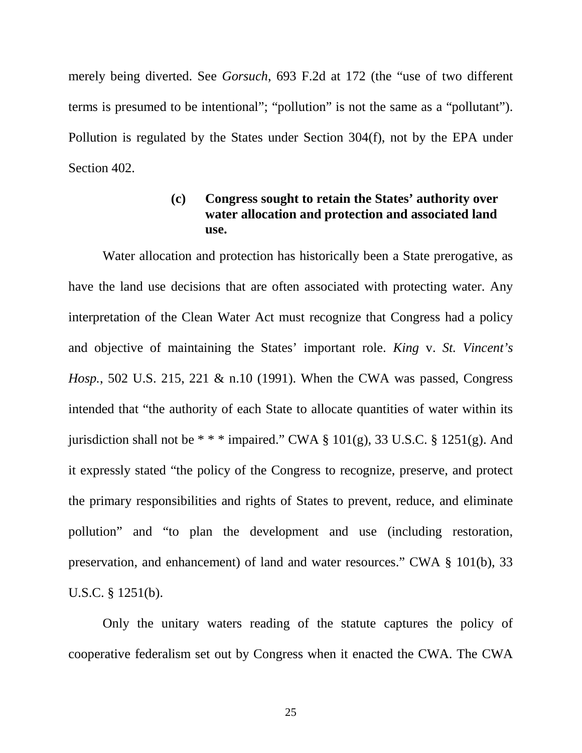merely being diverted. See *Gorsuch*, 693 F.2d at 172 (the "use of two different terms is presumed to be intentional"; "pollution" is not the same as a "pollutant"). Pollution is regulated by the States under Section 304(f), not by the EPA under Section 402.

# **(c) Congress sought to retain the States' authority over water allocation and protection and associated land use.**

Water allocation and protection has historically been a State prerogative, as have the land use decisions that are often associated with protecting water. Any interpretation of the Clean Water Act must recognize that Congress had a policy and objective of maintaining the States' important role. *King* v. *St. Vincent's Hosp.*, 502 U.S. 215, 221 & n.10 (1991). When the CWA was passed, Congress intended that "the authority of each State to allocate quantities of water within its jurisdiction shall not be  $***$  impaired." CWA § 101(g), 33 U.S.C. § 1251(g). And it expressly stated "the policy of the Congress to recognize, preserve, and protect the primary responsibilities and rights of States to prevent, reduce, and eliminate pollution" and "to plan the development and use (including restoration, preservation, and enhancement) of land and water resources." CWA § 101(b), 33 U.S.C. § 1251(b).

Only the unitary waters reading of the statute captures the policy of cooperative federalism set out by Congress when it enacted the CWA. The CWA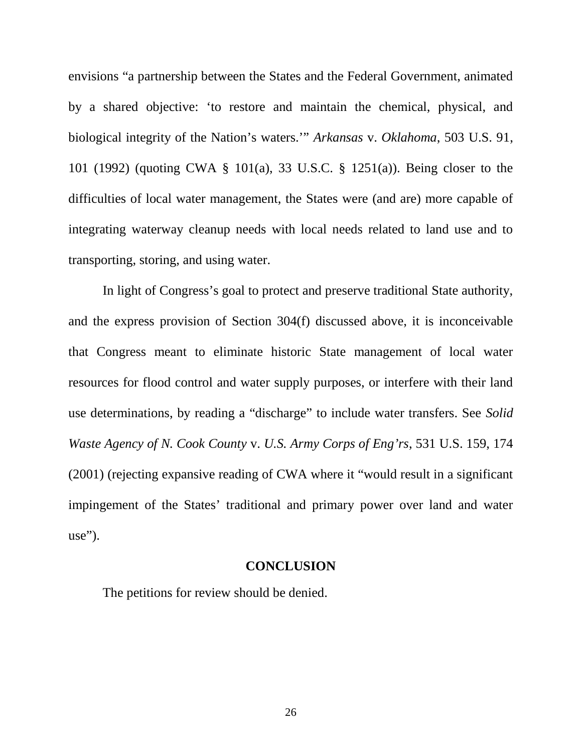envisions "a partnership between the States and the Federal Government, animated by a shared objective: 'to restore and maintain the chemical, physical, and biological integrity of the Nation's waters.'" *Arkansas* v. *Oklahoma*, 503 U.S. 91, 101 (1992) (quoting CWA § 101(a), 33 U.S.C. § 1251(a)). Being closer to the difficulties of local water management, the States were (and are) more capable of integrating waterway cleanup needs with local needs related to land use and to transporting, storing, and using water.

In light of Congress's goal to protect and preserve traditional State authority, and the express provision of Section 304(f) discussed above, it is inconceivable that Congress meant to eliminate historic State management of local water resources for flood control and water supply purposes, or interfere with their land use determinations, by reading a "discharge" to include water transfers. See *Solid Waste Agency of N. Cook County* v. *U.S. Army Corps of Eng'rs*, 531 U.S. 159, 174 (2001) (rejecting expansive reading of CWA where it "would result in a significant impingement of the States' traditional and primary power over land and water use").

## **CONCLUSION**

The petitions for review should be denied.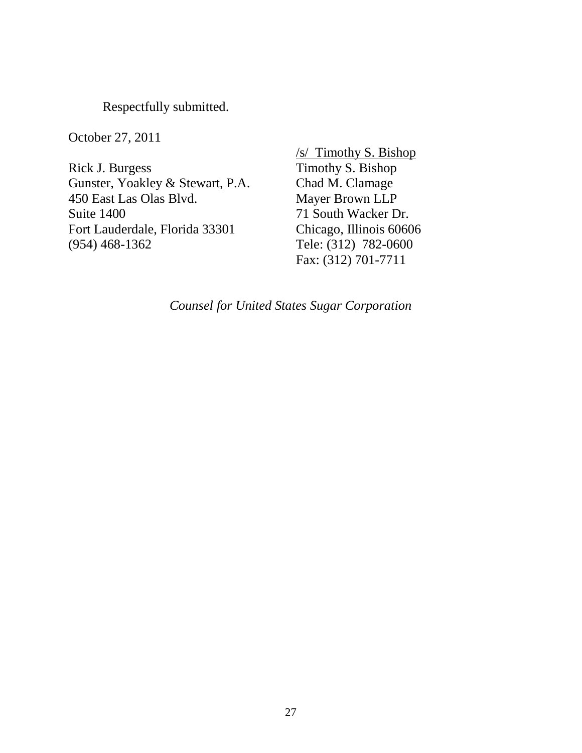Respectfully submitted.

October 27, 2011

Rick J. Burgess Gunster, Yoakley & Stewart, P.A. 450 East Las Olas Blvd. Suite 1400 Fort Lauderdale, Florida 33301 (954) 468-1362

/s/ Timothy S. Bishop Timothy S. Bishop Chad M. Clamage Mayer Brown LLP 71 South Wacker Dr. Chicago, Illinois 60606 Tele: (312) 782-0600 Fax: (312) 701-7711

*Counsel for United States Sugar Corporation*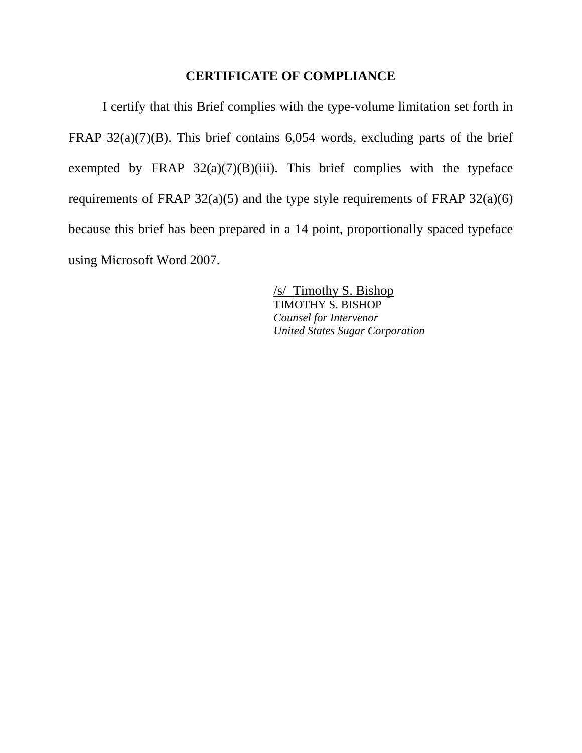# **CERTIFICATE OF COMPLIANCE**

I certify that this Brief complies with the type-volume limitation set forth in FRAP  $32(a)(7)(B)$ . This brief contains 6,054 words, excluding parts of the brief exempted by FRAP  $32(a)(7)(B)(iii)$ . This brief complies with the typeface requirements of FRAP  $32(a)(5)$  and the type style requirements of FRAP  $32(a)(6)$ because this brief has been prepared in a 14 point, proportionally spaced typeface using Microsoft Word 2007.

> /s/ Timothy S. Bishop TIMOTHY S. BISHOP *Counsel for Intervenor United States Sugar Corporation*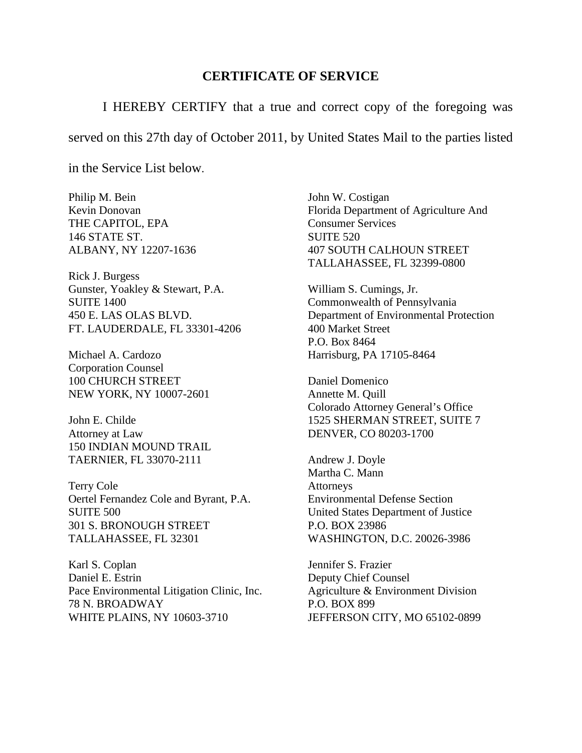#### **CERTIFICATE OF SERVICE**

I HEREBY CERTIFY that a true and correct copy of the foregoing was

served on this 27th day of October 2011, by United States Mail to the parties listed

in the Service List below.

Philip M. Bein Kevin Donovan THE CAPITOL, EPA 146 STATE ST. ALBANY, NY 12207-1636

Rick J. Burgess Gunster, Yoakley & Stewart, P.A. SUITE 1400 450 E. LAS OLAS BLVD. FT. LAUDERDALE, FL 33301-4206

Michael A. Cardozo Corporation Counsel 100 CHURCH STREET NEW YORK, NY 10007-2601

John E. Childe Attorney at Law 150 INDIAN MOUND TRAIL TAERNIER, FL 33070-2111

Terry Cole Oertel Fernandez Cole and Byrant, P.A. SUITE 500 301 S. BRONOUGH STREET TALLAHASSEE, FL 32301

Karl S. Coplan Daniel E. Estrin Pace Environmental Litigation Clinic, Inc. 78 N. BROADWAY WHITE PLAINS, NY 10603-3710

John W. Costigan Florida Department of Agriculture And Consumer Services SUITE 520 407 SOUTH CALHOUN STREET TALLAHASSEE, FL 32399-0800

William S. Cumings, Jr. Commonwealth of Pennsylvania Department of Environmental Protection 400 Market Street P.O. Box 8464 Harrisburg, PA 17105-8464

Daniel Domenico Annette M. Quill Colorado Attorney General's Office 1525 SHERMAN STREET, SUITE 7 DENVER, CO 80203-1700

Andrew J. Doyle Martha C. Mann Attorneys Environmental Defense Section United States Department of Justice P.O. BOX 23986 WASHINGTON, D.C. 20026-3986

Jennifer S. Frazier Deputy Chief Counsel Agriculture & Environment Division P.O. BOX 899 JEFFERSON CITY, MO 65102-0899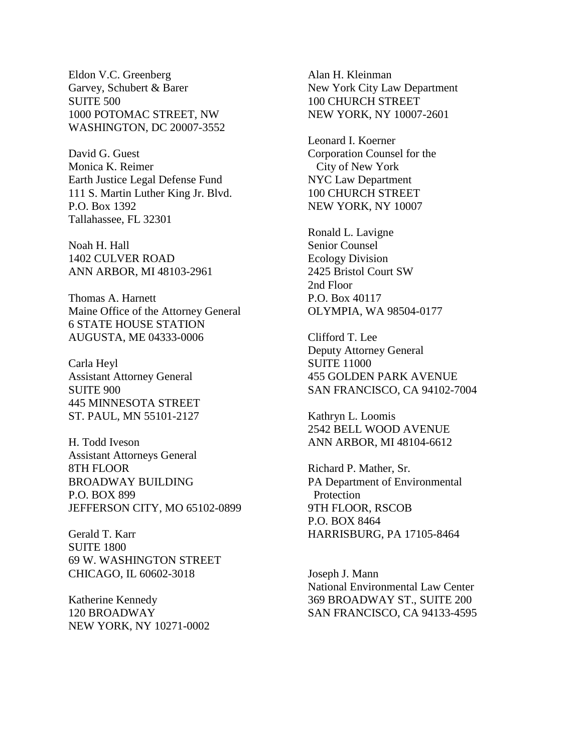Eldon V.C. Greenberg Garvey, Schubert & Barer SUITE 500 1000 POTOMAC STREET, NW WASHINGTON, DC 20007-3552

David G. Guest Monica K. Reimer Earth Justice Legal Defense Fund 111 S. Martin Luther King Jr. Blvd. P.O. Box 1392 Tallahassee, FL 32301

Noah H. Hall 1402 CULVER ROAD ANN ARBOR, MI 48103-2961

Thomas A. Harnett Maine Office of the Attorney General 6 STATE HOUSE STATION AUGUSTA, ME 04333-0006

Carla Heyl Assistant Attorney General SUITE 900 445 MINNESOTA STREET ST. PAUL, MN 55101-2127

H. Todd Iveson Assistant Attorneys General 8TH FLOOR BROADWAY BUILDING P.O. BOX 899 JEFFERSON CITY, MO 65102-0899

Gerald T. Karr SUITE 1800 69 W. WASHINGTON STREET CHICAGO, IL 60602-3018

Katherine Kennedy 120 BROADWAY NEW YORK, NY 10271-0002

Alan H. Kleinman New York City Law Department 100 CHURCH STREET NEW YORK, NY 10007-2601

Leonard I. Koerner Corporation Counsel for the City of New York NYC Law Department 100 CHURCH STREET NEW YORK, NY 10007

Ronald L. Lavigne Senior Counsel Ecology Division 2425 Bristol Court SW 2nd Floor P.O. Box 40117 OLYMPIA, WA 98504-0177

Clifford T. Lee Deputy Attorney General SUITE 11000 455 GOLDEN PARK AVENUE SAN FRANCISCO, CA 94102-7004

Kathryn L. Loomis 2542 BELL WOOD AVENUE ANN ARBOR, MI 48104-6612

Richard P. Mather, Sr. PA Department of Environmental Protection 9TH FLOOR, RSCOB P.O. BOX 8464 HARRISBURG, PA 17105-8464

Joseph J. Mann National Environmental Law Center 369 BROADWAY ST., SUITE 200 SAN FRANCISCO, CA 94133-4595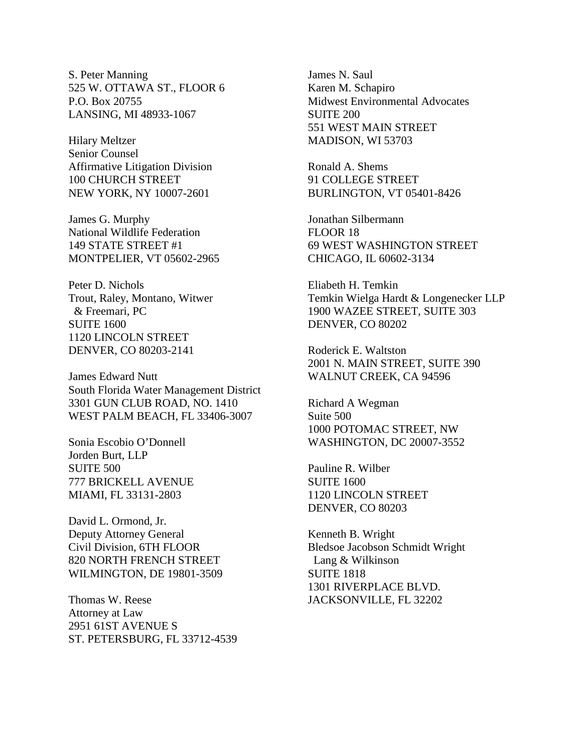S. Peter Manning 525 W. OTTAWA ST., FLOOR 6 P.O. Box 20755 LANSING, MI 48933-1067

Hilary Meltzer Senior Counsel Affirmative Litigation Division 100 CHURCH STREET NEW YORK, NY 10007-2601

James G. Murphy National Wildlife Federation 149 STATE STREET #1 MONTPELIER, VT 05602-2965

Peter D. Nichols Trout, Raley, Montano, Witwer & Freemari, PC SUITE 1600 1120 LINCOLN STREET DENVER, CO 80203-2141

James Edward Nutt South Florida Water Management District 3301 GUN CLUB ROAD, NO. 1410 WEST PALM BEACH, FL 33406-3007

Sonia Escobio O'Donnell Jorden Burt, LLP SUITE 500 777 BRICKELL AVENUE MIAMI, FL 33131-2803

David L. Ormond, Jr. Deputy Attorney General Civil Division, 6TH FLOOR 820 NORTH FRENCH STREET WILMINGTON, DE 19801-3509

Thomas W. Reese Attorney at Law 2951 61ST AVENUE S ST. PETERSBURG, FL 33712-4539 James N. Saul Karen M. Schapiro Midwest Environmental Advocates SUITE 200 551 WEST MAIN STREET MADISON, WI 53703

Ronald A. Shems 91 COLLEGE STREET BURLINGTON, VT 05401-8426

Jonathan Silbermann FLOOR 18 69 WEST WASHINGTON STREET CHICAGO, IL 60602-3134

Eliabeth H. Temkin Temkin Wielga Hardt & Longenecker LLP 1900 WAZEE STREET, SUITE 303 DENVER, CO 80202

Roderick E. Waltston 2001 N. MAIN STREET, SUITE 390 WALNUT CREEK, CA 94596

Richard A Wegman Suite 500 1000 POTOMAC STREET, NW WASHINGTON, DC 20007-3552

Pauline R. Wilber SUITE 1600 1120 LINCOLN STREET DENVER, CO 80203

Kenneth B. Wright Bledsoe Jacobson Schmidt Wright Lang & Wilkinson SUITE 1818 1301 RIVERPLACE BLVD. JACKSONVILLE, FL 32202